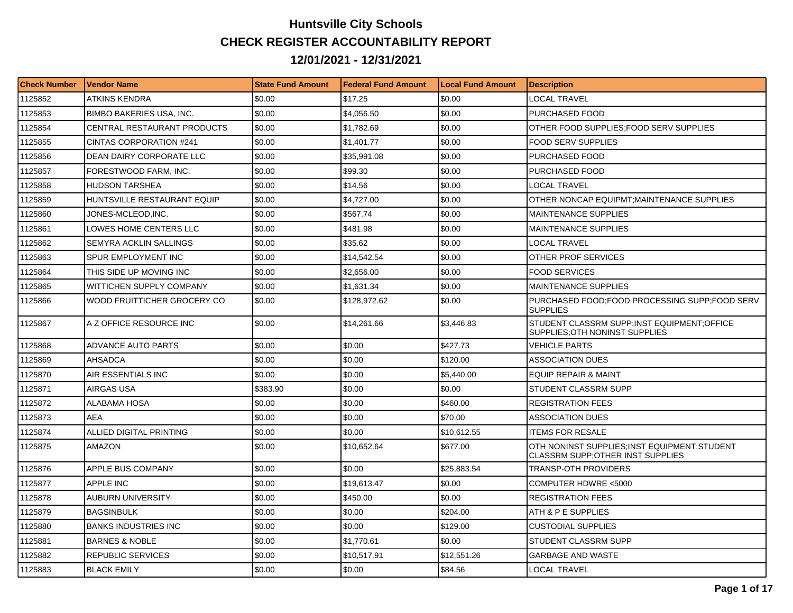## **Huntsville City Schools CHECK REGISTER ACCOUNTABILITY REPORT 12/01/2021 - 12/31/2021**

| <b>Check Number</b> | <b>Vendor Name</b>                 | <b>State Fund Amount</b> | Federal Fund Amount | <b>Local Fund Amount</b> | <b>Description</b>                                                               |
|---------------------|------------------------------------|--------------------------|---------------------|--------------------------|----------------------------------------------------------------------------------|
| 1125852             | ATKINS KENDRA                      | \$0.00                   | \$17.25             | \$0.00                   | LOCAL TRAVEL                                                                     |
| 1125853             | <b>BIMBO BAKERIES USA, INC.</b>    | \$0.00                   | \$4,056.50          | \$0.00                   | PURCHASED FOOD                                                                   |
| 1125854             | <b>CENTRAL RESTAURANT PRODUCTS</b> | \$0.00                   | \$1.782.69          | \$0.00                   | OTHER FOOD SUPPLIES: FOOD SERV SUPPLIES                                          |
| 1125855             | <b>CINTAS CORPORATION #241</b>     | \$0.00                   | \$1,401.77          | \$0.00                   | <b>FOOD SERV SUPPLIES</b>                                                        |
| 1125856             | DEAN DAIRY CORPORATE LLC           | \$0.00                   | \$35,991.08         | \$0.00                   | PURCHASED FOOD                                                                   |
| 1125857             | FORESTWOOD FARM, INC.              | \$0.00                   | \$99.30             | \$0.00                   | PURCHASED FOOD                                                                   |
| 1125858             | <b>HUDSON TARSHEA</b>              | \$0.00                   | \$14.56             | \$0.00                   | LOCAL TRAVEL                                                                     |
| 1125859             | HUNTSVILLE RESTAURANT EQUIP        | \$0.00                   | \$4,727.00          | \$0.00                   | OTHER NONCAP EQUIPMT:MAINTENANCE SUPPLIES                                        |
| 1125860             | JONES-MCLEOD,INC.                  | \$0.00                   | \$567.74            | \$0.00                   | <b>MAINTENANCE SUPPLIES</b>                                                      |
| 1125861             | LOWES HOME CENTERS LLC             | \$0.00                   | \$481.98            | \$0.00                   | MAINTENANCE SUPPLIES                                                             |
| 1125862             | SEMYRA ACKLIN SALLINGS             | \$0.00                   | \$35.62             | \$0.00                   | LOCAL TRAVEL                                                                     |
| 1125863             | SPUR EMPLOYMENT INC                | \$0.00                   | \$14,542.54         | \$0.00                   | OTHER PROF SERVICES                                                              |
| 1125864             | THIS SIDE UP MOVING INC            | \$0.00                   | \$2,656.00          | \$0.00                   | <b>FOOD SERVICES</b>                                                             |
| 1125865             | WITTICHEN SUPPLY COMPANY           | \$0.00                   | \$1,631.34          | \$0.00                   | MAINTENANCE SUPPLIES                                                             |
| 1125866             | WOOD FRUITTICHER GROCERY CO        | \$0.00                   | \$128,972.62        | \$0.00                   | PURCHASED FOOD;FOOD PROCESSING SUPP;FOOD SERV<br><b>SUPPLIES</b>                 |
| 1125867             | A Z OFFICE RESOURCE INC            | \$0.00                   | \$14,261.66         | \$3,446.83               | STUDENT CLASSRM SUPP;INST EQUIPMENT;OFFICE<br>SUPPLIES: OTH NONINST SUPPLIES     |
| 1125868             | ADVANCE AUTO PARTS                 | \$0.00                   | \$0.00              | \$427.73                 | <b>VEHICLE PARTS</b>                                                             |
| 1125869             | <b>AHSADCA</b>                     | \$0.00                   | \$0.00              | \$120.00                 | ASSOCIATION DUES                                                                 |
| 1125870             | AIR ESSENTIALS INC                 | \$0.00                   | \$0.00              | \$5,440.00               | EQUIP REPAIR & MAINT                                                             |
| 1125871             | AIRGAS USA                         | \$383.90                 | \$0.00              | \$0.00                   | STUDENT CLASSRM SUPP                                                             |
| 1125872             | ALABAMA HOSA                       | \$0.00                   | \$0.00              | \$460.00                 | <b>REGISTRATION FEES</b>                                                         |
| 1125873             | <b>AEA</b>                         | \$0.00                   | \$0.00              | \$70.00                  | <b>ASSOCIATION DUES</b>                                                          |
| 1125874             | ALLIED DIGITAL PRINTING            | \$0.00                   | \$0.00              | \$10,612.55              | <b>ITEMS FOR RESALE</b>                                                          |
| 1125875             | AMAZON                             | \$0.00                   | \$10,652.64         | \$677.00                 | OTH NONINST SUPPLIES:INST EQUIPMENT:STUDENT<br>CLASSRM SUPP; OTHER INST SUPPLIES |
| 1125876             | APPLE BUS COMPANY                  | \$0.00                   | \$0.00              | \$25,883.54              | <b>TRANSP-OTH PROVIDERS</b>                                                      |
| 1125877             | APPLE INC                          | \$0.00                   | \$19.613.47         | \$0.00                   | COMPUTER HDWRE <5000                                                             |
| 1125878             | <b>AUBURN UNIVERSITY</b>           | \$0.00                   | \$450.00            | \$0.00                   | <b>REGISTRATION FEES</b>                                                         |
| 1125879             | <b>BAGSINBULK</b>                  | \$0.00                   | \$0.00              | \$204.00                 | ATH & P E SUPPLIES                                                               |
| 1125880             | <b>BANKS INDUSTRIES INC</b>        | \$0.00                   | \$0.00              | \$129.00                 | <b>CUSTODIAL SUPPLIES</b>                                                        |
| 1125881             | <b>BARNES &amp; NOBLE</b>          | \$0.00                   | \$1,770.61          | \$0.00                   | STUDENT CLASSRM SUPP                                                             |
| 1125882             | <b>REPUBLIC SERVICES</b>           | \$0.00                   | \$10,517.91         | \$12,551.26              | GARBAGE AND WASTE                                                                |
| 1125883             | <b>BLACK EMILY</b>                 | \$0.00                   | \$0.00              | \$84.56                  | LOCAL TRAVEL                                                                     |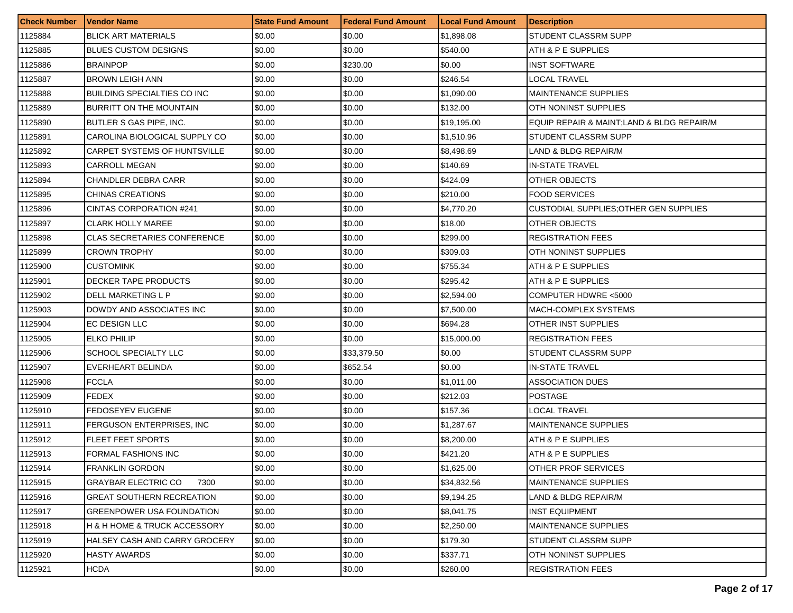| <b>Check Number</b> | Vendor Name                        | <b>State Fund Amount</b> | l Federal Fund Amount | <b>Local Fund Amount</b> | <b>Description</b>                        |
|---------------------|------------------------------------|--------------------------|-----------------------|--------------------------|-------------------------------------------|
| 1125884             | <b>BLICK ART MATERIALS</b>         | \$0.00                   | \$0.00                | \$1,898.08               | STUDENT CLASSRM SUPP                      |
| 1125885             | <b>BLUES CUSTOM DESIGNS</b>        | \$0.00                   | \$0.00                | \$540.00                 | ATH & P E SUPPLIES                        |
| 1125886             | <b>BRAINPOP</b>                    | \$0.00                   | \$230.00              | \$0.00                   | <b>INST SOFTWARE</b>                      |
| 1125887             | <b>BROWN LEIGH ANN</b>             | \$0.00                   | \$0.00                | \$246.54                 | <b>LOCAL TRAVEL</b>                       |
| 1125888             | <b>BUILDING SPECIALTIES CO INC</b> | \$0.00                   | \$0.00                | \$1,090.00               | <b>MAINTENANCE SUPPLIES</b>               |
| 1125889             | BURRITT ON THE MOUNTAIN            | \$0.00                   | \$0.00                | \$132.00                 | OTH NONINST SUPPLIES                      |
| 1125890             | BUTLER S GAS PIPE, INC.            | \$0.00                   | \$0.00                | \$19,195.00              | EQUIP REPAIR & MAINT;LAND & BLDG REPAIR/M |
| 1125891             | CAROLINA BIOLOGICAL SUPPLY CO      | \$0.00                   | \$0.00                | \$1,510.96               | STUDENT CLASSRM SUPP                      |
| 1125892             | CARPET SYSTEMS OF HUNTSVILLE       | \$0.00                   | \$0.00                | \$8,498.69               | LAND & BLDG REPAIR/M                      |
| 1125893             | CARROLL MEGAN                      | \$0.00                   | \$0.00                | \$140.69                 | IN-STATE TRAVEL                           |
| 1125894             | <b>CHANDLER DEBRA CARR</b>         | \$0.00                   | \$0.00                | \$424.09                 | OTHER OBJECTS                             |
| 1125895             | CHINAS CREATIONS                   | \$0.00                   | \$0.00                | \$210.00                 | <b>FOOD SERVICES</b>                      |
| 1125896             | CINTAS CORPORATION #241            | \$0.00                   | \$0.00                | \$4,770.20               | CUSTODIAL SUPPLIES; OTHER GEN SUPPLIES    |
| 1125897             | <b>CLARK HOLLY MAREE</b>           | \$0.00                   | \$0.00                | \$18.00                  | OTHER OBJECTS                             |
| 1125898             | CLAS SECRETARIES CONFERENCE        | \$0.00                   | \$0.00                | \$299.00                 | <b>REGISTRATION FEES</b>                  |
| 1125899             | <b>CROWN TROPHY</b>                | \$0.00                   | \$0.00                | \$309.03                 | OTH NONINST SUPPLIES                      |
| 1125900             | CUSTOMINK                          | \$0.00                   | \$0.00                | \$755.34                 | ATH & P E SUPPLIES                        |
| 1125901             | DECKER TAPE PRODUCTS               | \$0.00                   | \$0.00                | \$295.42                 | ATH & P E SUPPLIES                        |
| 1125902             | DELL MARKETING L P                 | \$0.00                   | \$0.00                | \$2,594.00               | COMPUTER HDWRE <5000                      |
| 1125903             | DOWDY AND ASSOCIATES INC           | \$0.00                   | \$0.00                | \$7,500.00               | MACH-COMPLEX SYSTEMS                      |
| 1125904             | EC DESIGN LLC                      | \$0.00                   | \$0.00                | \$694.28                 | OTHER INST SUPPLIES                       |
| 1125905             | ELKO PHILIP                        | \$0.00                   | \$0.00                | \$15,000.00              | <b>REGISTRATION FEES</b>                  |
| 1125906             | SCHOOL SPECIALTY LLC               | \$0.00                   | \$33,379.50           | \$0.00                   | STUDENT CLASSRM SUPP                      |
| 1125907             | EVERHEART BELINDA                  | \$0.00                   | \$652.54              | \$0.00                   | <b>IN-STATE TRAVEL</b>                    |
| 1125908             | <b>FCCLA</b>                       | \$0.00                   | \$0.00                | \$1,011.00               | <b>ASSOCIATION DUES</b>                   |
| 1125909             | <b>FEDEX</b>                       | \$0.00                   | \$0.00                | \$212.03                 | <b>POSTAGE</b>                            |
| 1125910             | FEDOSEYEV EUGENE                   | \$0.00                   | \$0.00                | \$157.36                 | LOCAL TRAVEL                              |
| 1125911             | FERGUSON ENTERPRISES, INC.         | \$0.00                   | \$0.00                | \$1,287.67               | <b>MAINTENANCE SUPPLIES</b>               |
| 1125912             | <b>FLEET FEET SPORTS</b>           | \$0.00                   | \$0.00                | \$8,200.00               | ATH & P E SUPPLIES                        |
| 1125913             | FORMAL FASHIONS INC                | \$0.00                   | \$0.00                | \$421.20                 | ATH & P E SUPPLIES                        |
| 1125914             | <b>FRANKLIN GORDON</b>             | \$0.00                   | \$0.00                | \$1,625.00               | OTHER PROF SERVICES                       |
| 1125915             | <b>GRAYBAR ELECTRIC CO</b><br>7300 | \$0.00                   | \$0.00                | \$34,832.56              | <b>MAINTENANCE SUPPLIES</b>               |
| 1125916             | GREAT SOUTHERN RECREATION          | \$0.00                   | \$0.00                | \$9,194.25               | LAND & BLDG REPAIR/M                      |
| 1125917             | GREENPOWER USA FOUNDATION          | \$0.00                   | \$0.00                | \$8,041.75               | <b>INST EQUIPMENT</b>                     |
| 1125918             | H & H HOME & TRUCK ACCESSORY       | \$0.00                   | \$0.00                | \$2,250.00               | <b>MAINTENANCE SUPPLIES</b>               |
| 1125919             | HALSEY CASH AND CARRY GROCERY      | \$0.00                   | \$0.00                | \$179.30                 | STUDENT CLASSRM SUPP                      |
| 1125920             | HASTY AWARDS                       | \$0.00                   | \$0.00                | \$337.71                 | OTH NONINST SUPPLIES                      |
| 1125921             | <b>HCDA</b>                        | \$0.00                   | \$0.00                | \$260.00                 | <b>REGISTRATION FEES</b>                  |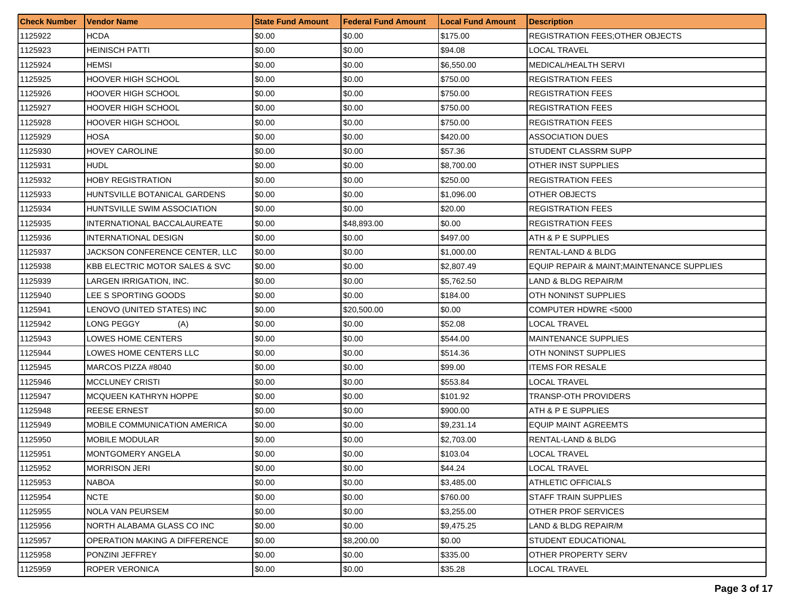| <b>Check Number</b> | Vendor Name                               | <b>State Fund Amount</b> | l Federal Fund Amount | <b>Local Fund Amount</b> | <b>Description</b>                         |
|---------------------|-------------------------------------------|--------------------------|-----------------------|--------------------------|--------------------------------------------|
| 1125922             | HCDA                                      | \$0.00                   | \$0.00                | \$175.00                 | <b>REGISTRATION FEES: OTHER OBJECTS</b>    |
| 1125923             | <b>HEINISCH PATTI</b>                     | \$0.00                   | \$0.00                | \$94.08                  | LOCAL TRAVEL                               |
| 1125924             | HEMSI                                     | \$0.00                   | \$0.00                | \$6,550.00               | <b>MEDICAL/HEALTH SERVI</b>                |
| 1125925             | HOOVER HIGH SCHOOL                        | \$0.00                   | \$0.00                | \$750.00                 | <b>REGISTRATION FEES</b>                   |
| 1125926             | HOOVER HIGH SCHOOL                        | \$0.00                   | \$0.00                | \$750.00                 | <b>REGISTRATION FEES</b>                   |
| 1125927             | HOOVER HIGH SCHOOL                        | \$0.00                   | \$0.00                | \$750.00                 | <b>REGISTRATION FEES</b>                   |
| 1125928             | HOOVER HIGH SCHOOL                        | \$0.00                   | \$0.00                | \$750.00                 | <b>REGISTRATION FEES</b>                   |
| 1125929             | HOSA                                      | \$0.00                   | \$0.00                | \$420.00                 | <b>ASSOCIATION DUES</b>                    |
| 1125930             | HOVEY CAROLINE                            | \$0.00                   | \$0.00                | \$57.36                  | STUDENT CLASSRM SUPP                       |
| 1125931             | HUDL                                      | \$0.00                   | \$0.00                | \$8,700.00               | OTHER INST SUPPLIES                        |
| 1125932             | HOBY REGISTRATION                         | \$0.00                   | \$0.00                | \$250.00                 | <b>REGISTRATION FEES</b>                   |
| 1125933             | HUNTSVILLE BOTANICAL GARDENS              | \$0.00                   | \$0.00                | \$1,096.00               | OTHER OBJECTS                              |
| 1125934             | HUNTSVILLE SWIM ASSOCIATION               | \$0.00                   | \$0.00                | \$20.00                  | <b>REGISTRATION FEES</b>                   |
| 1125935             | <b>INTERNATIONAL BACCALAUREATE</b>        | \$0.00                   | \$48,893.00           | \$0.00                   | <b>REGISTRATION FEES</b>                   |
| 1125936             | INTERNATIONAL DESIGN                      | \$0.00                   | \$0.00                | \$497.00                 | ATH & P E SUPPLIES                         |
| 1125937             | JACKSON CONFERENCE CENTER, LLC            | \$0.00                   | \$0.00                | \$1,000.00               | RENTAL-LAND & BLDG                         |
| 1125938             | <b>KBB ELECTRIC MOTOR SALES &amp; SVC</b> | \$0.00                   | \$0.00                | \$2,807.49               | EQUIP REPAIR & MAINT; MAINTENANCE SUPPLIES |
| 1125939             | LARGEN IRRIGATION, INC.                   | \$0.00                   | \$0.00                | \$5,762.50               | LAND & BLDG REPAIR/M                       |
| 1125940             | LEE S SPORTING GOODS                      | \$0.00                   | \$0.00                | \$184.00                 | OTH NONINST SUPPLIES                       |
| 1125941             | LENOVO (UNITED STATES) INC                | \$0.00                   | \$20,500.00           | \$0.00                   | COMPUTER HDWRE <5000                       |
| 1125942             | LONG PEGGY<br>(A)                         | \$0.00                   | \$0.00                | \$52.08                  | LOCAL TRAVEL                               |
| 1125943             | LOWES HOME CENTERS                        | \$0.00                   | \$0.00                | \$544.00                 | <b>MAINTENANCE SUPPLIES</b>                |
| 1125944             | LOWES HOME CENTERS LLC                    | \$0.00                   | \$0.00                | \$514.36                 | OTH NONINST SUPPLIES                       |
| 1125945             | MARCOS PIZZA #8040                        | \$0.00                   | \$0.00                | \$99.00                  | <b>ITEMS FOR RESALE</b>                    |
| 1125946             | <b>MCCLUNEY CRISTI</b>                    | \$0.00                   | \$0.00                | \$553.84                 | LOCAL TRAVEL                               |
| 1125947             | MCQUEEN KATHRYN HOPPE                     | \$0.00                   | \$0.00                | \$101.92                 | <b>TRANSP-OTH PROVIDERS</b>                |
| 1125948             | REESE ERNEST                              | \$0.00                   | \$0.00                | \$900.00                 | ATH & P E SUPPLIES                         |
| 1125949             | MOBILE COMMUNICATION AMERICA              | \$0.00                   | \$0.00                | \$9,231.14               | <b>EQUIP MAINT AGREEMTS</b>                |
| 1125950             | <b>MOBILE MODULAR</b>                     | \$0.00                   | \$0.00                | \$2,703.00               | RENTAL-LAND & BLDG                         |
| 1125951             | MONTGOMERY ANGELA                         | \$0.00                   | \$0.00                | \$103.04                 | LOCAL TRAVEL                               |
| 1125952             | <b>MORRISON JERI</b>                      | \$0.00                   | \$0.00                | \$44.24                  | <b>LOCAL TRAVEL</b>                        |
| 1125953             | NABOA                                     | \$0.00                   | \$0.00                | \$3,485.00               | <b>ATHLETIC OFFICIALS</b>                  |
| 1125954             | <b>NCTE</b>                               | \$0.00                   | \$0.00                | \$760.00                 | <b>STAFF TRAIN SUPPLIES</b>                |
| 1125955             | NOLA VAN PEURSEM                          | \$0.00                   | \$0.00                | \$3,255.00               | OTHER PROF SERVICES                        |
| 1125956             | NORTH ALABAMA GLASS CO INC                | \$0.00                   | \$0.00                | \$9,475.25               | LAND & BLDG REPAIR/M                       |
| 1125957             | <b>OPERATION MAKING A DIFFERENCE</b>      | \$0.00                   | \$8,200.00            | \$0.00                   | STUDENT EDUCATIONAL                        |
| 1125958             | PONZINI JEFFREY                           | \$0.00                   | \$0.00                | \$335.00                 | OTHER PROPERTY SERV                        |
| 1125959             | ROPER VERONICA                            | \$0.00                   | \$0.00                | \$35.28                  | LOCAL TRAVEL                               |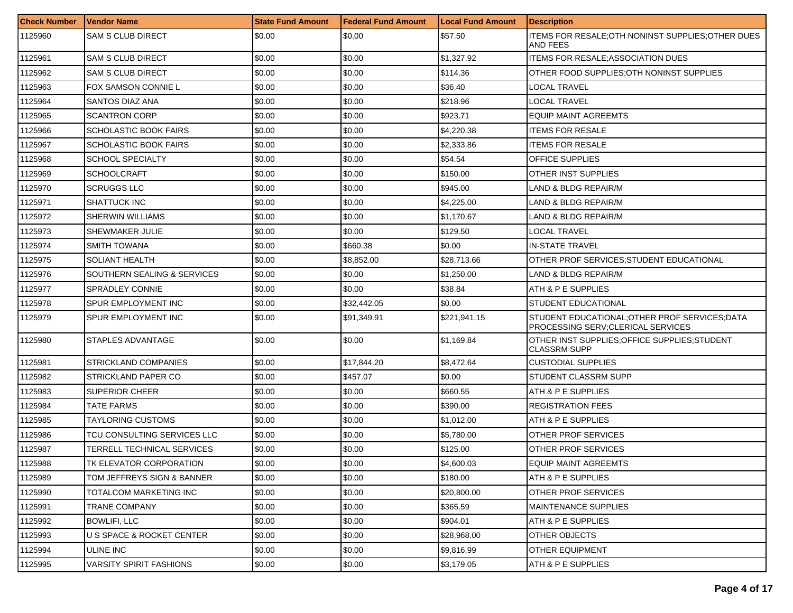| <b>Check Number</b> | l Vendor Name                        | <b>State Fund Amount</b> | <b>Federal Fund Amount</b> | <b>Local Fund Amount</b> | <b>Description</b>                                                                   |
|---------------------|--------------------------------------|--------------------------|----------------------------|--------------------------|--------------------------------------------------------------------------------------|
| 1125960             | <b>SAM S CLUB DIRECT</b>             | \$0.00                   | \$0.00                     | \$57.50                  | ITEMS FOR RESALE; OTH NONINST SUPPLIES; OTHER DUES<br>AND FEES                       |
| 1125961             | <b>SAM S CLUB DIRECT</b>             | \$0.00                   | \$0.00                     | \$1,327.92               | <b>ITEMS FOR RESALE: ASSOCIATION DUES</b>                                            |
| 1125962             | <b>SAM S CLUB DIRECT</b>             | \$0.00                   | \$0.00                     | \$114.36                 | OTHER FOOD SUPPLIES OTH NONINST SUPPLIES                                             |
| 1125963             | FOX SAMSON CONNIE L                  | \$0.00                   | \$0.00                     | \$36.40                  | LOCAL TRAVEL                                                                         |
| 1125964             | SANTOS DIAZ ANA                      | \$0.00                   | \$0.00                     | \$218.96                 | LOCAL TRAVEL                                                                         |
| 1125965             | <b>SCANTRON CORP</b>                 | \$0.00                   | \$0.00                     | \$923.71                 | EQUIP MAINT AGREEMTS                                                                 |
| 1125966             | SCHOLASTIC BOOK FAIRS                | \$0.00                   | \$0.00                     | \$4,220.38               | <b>ITEMS FOR RESALE</b>                                                              |
| 1125967             | <b>SCHOLASTIC BOOK FAIRS</b>         | \$0.00                   | \$0.00                     | \$2,333.86               | <b>ITEMS FOR RESALE</b>                                                              |
| 1125968             | SCHOOL SPECIALTY                     | \$0.00                   | \$0.00                     | \$54.54                  | <b>OFFICE SUPPLIES</b>                                                               |
| 1125969             | <b>SCHOOLCRAFT</b>                   | \$0.00                   | \$0.00                     | \$150.00                 | OTHER INST SUPPLIES                                                                  |
| 1125970             | <b>SCRUGGS LLC</b>                   | \$0.00                   | \$0.00                     | \$945.00                 | LAND & BLDG REPAIR/M                                                                 |
| 1125971             | <b>SHATTUCK INC</b>                  | \$0.00                   | \$0.00                     | \$4,225.00               | LAND & BLDG REPAIR/M                                                                 |
| 1125972             | <b>SHERWIN WILLIAMS</b>              | \$0.00                   | \$0.00                     | \$1,170.67               | <b>LAND &amp; BLDG REPAIR/M</b>                                                      |
| 1125973             | SHEWMAKER JULIE                      | \$0.00                   | \$0.00                     | \$129.50                 | LOCAL TRAVEL                                                                         |
| 1125974             | <b>SMITH TOWANA</b>                  | \$0.00                   | \$660.38                   | \$0.00                   | IN-STATE TRAVEL                                                                      |
| 1125975             | <b>SOLIANT HEALTH</b>                | \$0.00                   | \$8.852.00                 | \$28,713.66              | OTHER PROF SERVICES:STUDENT EDUCATIONAL                                              |
| 1125976             | SOUTHERN SEALING & SERVICES          | \$0.00                   | \$0.00                     | \$1,250.00               | LAND & BLDG REPAIR/M                                                                 |
| 1125977             | <b>SPRADLEY CONNIE</b>               | \$0.00                   | \$0.00                     | \$38.84                  | ATH & P E SUPPLIES                                                                   |
| 1125978             | SPUR EMPLOYMENT INC                  | \$0.00                   | \$32,442.05                | \$0.00                   | STUDENT EDUCATIONAL                                                                  |
| 1125979             | SPUR EMPLOYMENT INC                  | \$0.00                   | \$91,349.91                | \$221,941.15             | STUDENT EDUCATIONAL; OTHER PROF SERVICES; DATA<br>PROCESSING SERV; CLERICAL SERVICES |
| 1125980             | STAPLES ADVANTAGE                    | \$0.00                   | \$0.00                     | \$1,169.84               | OTHER INST SUPPLIES; OFFICE SUPPLIES; STUDENT<br><b>CLASSRM SUPP</b>                 |
| 1125981             | <b>STRICKLAND COMPANIES</b>          | \$0.00                   | \$17,844.20                | \$8,472.64               | CUSTODIAL SUPPLIES                                                                   |
| 1125982             | STRICKLAND PAPER CO                  | \$0.00                   | \$457.07                   | \$0.00                   | STUDENT CLASSRM SUPP                                                                 |
| 1125983             | <b>SUPERIOR CHEER</b>                | \$0.00                   | \$0.00                     | \$660.55                 | ATH & P E SUPPLIES                                                                   |
| 1125984             | TATE FARMS                           | \$0.00                   | \$0.00                     | \$390.00                 | <b>REGISTRATION FEES</b>                                                             |
| 1125985             | TAYLORING CUSTOMS                    | \$0.00                   | \$0.00                     | \$1,012.00               | <b>ATH &amp; P E SUPPLIES</b>                                                        |
| 1125986             | TCU CONSULTING SERVICES LLC          | \$0.00                   | \$0.00                     | \$5,780.00               | OTHER PROF SERVICES                                                                  |
| 1125987             | TERRELL TECHNICAL SERVICES           | \$0.00                   | \$0.00                     | \$125.00                 | <b>OTHER PROF SERVICES</b>                                                           |
| 1125988             | TK ELEVATOR CORPORATION              | \$0.00                   | \$0.00                     | \$4,600.03               | <b>EQUIP MAINT AGREEMTS</b>                                                          |
| 1125989             | TOM JEFFREYS SIGN & BANNER           | \$0.00                   | \$0.00                     | \$180.00                 | IATH & P E SUPPLIES                                                                  |
| 1125990             | TOTALCOM MARKETING INC               | \$0.00                   | \$0.00                     | \$20,800.00              | <b>OTHER PROF SERVICES</b>                                                           |
| 1125991             | TRANE COMPANY                        | \$0.00                   | \$0.00                     | \$365.59                 | <b>MAINTENANCE SUPPLIES</b>                                                          |
| 1125992             | <b>BOWLIFI, LLC</b>                  | \$0.00                   | \$0.00                     | \$904.01                 | ATH & P E SUPPLIES                                                                   |
| 1125993             | <b>U S SPACE &amp; ROCKET CENTER</b> | \$0.00                   | \$0.00                     | \$28,968.00              | <b>OTHER OBJECTS</b>                                                                 |
| 1125994             | ULINE INC                            | \$0.00                   | \$0.00                     | \$9,816.99               | OTHER EQUIPMENT                                                                      |
| 1125995             | <b>VARSITY SPIRIT FASHIONS</b>       | \$0.00                   | \$0.00                     | \$3,179.05               | ATH & P E SUPPLIES                                                                   |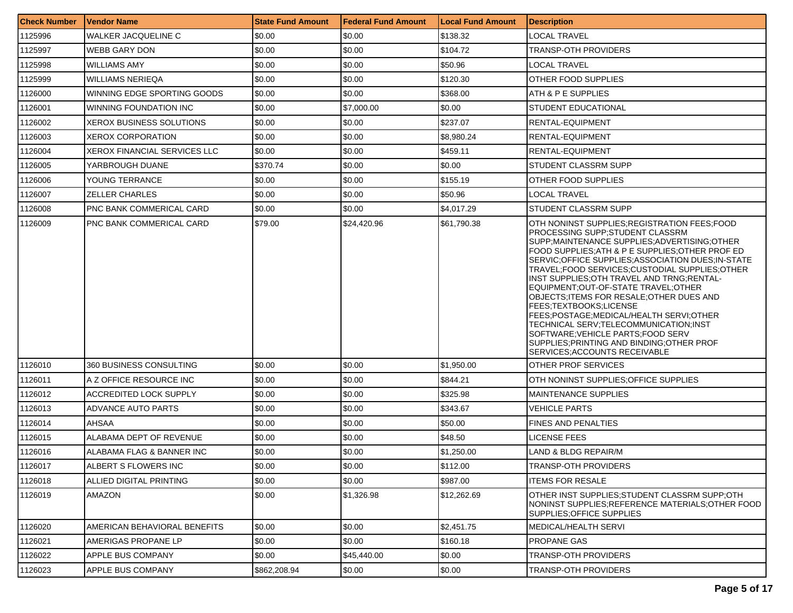| <b>Check Number</b> | Vendor Name                         | <b>State Fund Amount</b> | l Federal Fund Amount | <b>Local Fund Amount</b> | <b>Description</b>                                                                                                                                                                                                                                                                                                                                                                                                                                                                                                                                                                                                                                            |
|---------------------|-------------------------------------|--------------------------|-----------------------|--------------------------|---------------------------------------------------------------------------------------------------------------------------------------------------------------------------------------------------------------------------------------------------------------------------------------------------------------------------------------------------------------------------------------------------------------------------------------------------------------------------------------------------------------------------------------------------------------------------------------------------------------------------------------------------------------|
| 1125996             | WALKER JACQUELINE C                 | \$0.00                   | \$0.00                | \$138.32                 | LOCAL TRAVEL                                                                                                                                                                                                                                                                                                                                                                                                                                                                                                                                                                                                                                                  |
| 1125997             | <b>WEBB GARY DON</b>                | \$0.00                   | \$0.00                | \$104.72                 | <b>TRANSP-OTH PROVIDERS</b>                                                                                                                                                                                                                                                                                                                                                                                                                                                                                                                                                                                                                                   |
| 1125998             | <b>WILLIAMS AMY</b>                 | \$0.00                   | \$0.00                | \$50.96                  | LOCAL TRAVEL                                                                                                                                                                                                                                                                                                                                                                                                                                                                                                                                                                                                                                                  |
| 1125999             | <b>WILLIAMS NERIEQA</b>             | \$0.00                   | \$0.00                | \$120.30                 | OTHER FOOD SUPPLIES                                                                                                                                                                                                                                                                                                                                                                                                                                                                                                                                                                                                                                           |
| 1126000             | WINNING EDGE SPORTING GOODS         | \$0.00                   | \$0.00                | \$368.00                 | ATH & P E SUPPLIES                                                                                                                                                                                                                                                                                                                                                                                                                                                                                                                                                                                                                                            |
| 1126001             | WINNING FOUNDATION INC              | \$0.00                   | \$7,000.00            | \$0.00                   | STUDENT EDUCATIONAL                                                                                                                                                                                                                                                                                                                                                                                                                                                                                                                                                                                                                                           |
| 1126002             | XEROX BUSINESS SOLUTIONS            | \$0.00                   | \$0.00                | \$237.07                 | RENTAL-EQUIPMENT                                                                                                                                                                                                                                                                                                                                                                                                                                                                                                                                                                                                                                              |
| 1126003             | <b>XEROX CORPORATION</b>            | \$0.00                   | \$0.00                | \$8,980.24               | RENTAL-EQUIPMENT                                                                                                                                                                                                                                                                                                                                                                                                                                                                                                                                                                                                                                              |
| 1126004             | <b>XEROX FINANCIAL SERVICES LLC</b> | \$0.00                   | \$0.00                | \$459.11                 | <b>RENTAL-EQUIPMENT</b>                                                                                                                                                                                                                                                                                                                                                                                                                                                                                                                                                                                                                                       |
| 1126005             | YARBROUGH DUANE                     | \$370.74                 | \$0.00                | \$0.00                   | STUDENT CLASSRM SUPP                                                                                                                                                                                                                                                                                                                                                                                                                                                                                                                                                                                                                                          |
| 1126006             | YOUNG TERRANCE                      | \$0.00                   | \$0.00                | \$155.19                 | OTHER FOOD SUPPLIES                                                                                                                                                                                                                                                                                                                                                                                                                                                                                                                                                                                                                                           |
| 1126007             | ZELLER CHARLES                      | \$0.00                   | \$0.00                | \$50.96                  | LOCAL TRAVEL                                                                                                                                                                                                                                                                                                                                                                                                                                                                                                                                                                                                                                                  |
| 1126008             | <b>PNC BANK COMMERICAL CARD</b>     | \$0.00                   | \$0.00                | \$4,017.29               | STUDENT CLASSRM SUPP                                                                                                                                                                                                                                                                                                                                                                                                                                                                                                                                                                                                                                          |
| 1126009             | PNC BANK COMMERICAL CARD            | \$79.00                  | \$24,420.96           | \$61,790.38              | OTH NONINST SUPPLIES:REGISTRATION FEES:FOOD<br>PROCESSING SUPP:STUDENT CLASSRM<br>SUPP:MAINTENANCE SUPPLIES:ADVERTISING:OTHER<br>FOOD SUPPLIES:ATH & P E SUPPLIES:OTHER PROF ED<br>SERVIC; OFFICE SUPPLIES; ASSOCIATION DUES; IN-STATE<br>TRAVEL;FOOD SERVICES;CUSTODIAL SUPPLIES;OTHER<br>INST SUPPLIES; OTH TRAVEL AND TRNG; RENTAL-<br>EQUIPMENT:OUT-OF-STATE TRAVEL:OTHER<br>OBJECTS; ITEMS FOR RESALE; OTHER DUES AND<br>FEES:TEXTBOOKS:LICENSE<br>FEES;POSTAGE;MEDICAL/HEALTH SERVI;OTHER<br>TECHNICAL SERV:TELECOMMUNICATION:INST<br>SOFTWARE; VEHICLE PARTS; FOOD SERV<br>SUPPLIES: PRINTING AND BINDING: OTHER PROF<br>SERVICES; ACCOUNTS RECEIVABLE |
| 1126010             | 360 BUSINESS CONSULTING             | \$0.00                   | \$0.00                | \$1,950.00               | <b>OTHER PROF SERVICES</b>                                                                                                                                                                                                                                                                                                                                                                                                                                                                                                                                                                                                                                    |
| 1126011             | A Z OFFICE RESOURCE INC             | \$0.00                   | \$0.00                | \$844.21                 | OTH NONINST SUPPLIES; OF FICE SUPPLIES                                                                                                                                                                                                                                                                                                                                                                                                                                                                                                                                                                                                                        |
| 1126012             | ACCREDITED LOCK SUPPLY              | \$0.00                   | \$0.00                | \$325.98                 | <b>MAINTENANCE SUPPLIES</b>                                                                                                                                                                                                                                                                                                                                                                                                                                                                                                                                                                                                                                   |
| 1126013             | ADVANCE AUTO PARTS                  | \$0.00                   | \$0.00                | \$343.67                 | <b>VEHICLE PARTS</b>                                                                                                                                                                                                                                                                                                                                                                                                                                                                                                                                                                                                                                          |
| 1126014             | AHSAA                               | \$0.00                   | \$0.00                | \$50.00                  | <b>FINES AND PENALTIES</b>                                                                                                                                                                                                                                                                                                                                                                                                                                                                                                                                                                                                                                    |
| 1126015             | ALABAMA DEPT OF REVENUE             | \$0.00                   | \$0.00                | \$48.50                  | <b>LICENSE FEES</b>                                                                                                                                                                                                                                                                                                                                                                                                                                                                                                                                                                                                                                           |
| 1126016             | ALABAMA FLAG & BANNER INC           | \$0.00                   | \$0.00                | \$1,250.00               | LAND & BLDG REPAIR/M                                                                                                                                                                                                                                                                                                                                                                                                                                                                                                                                                                                                                                          |
| 1126017             | ALBERT S FLOWERS INC                | \$0.00                   | \$0.00                | \$112.00                 | <b>TRANSP-OTH PROVIDERS</b>                                                                                                                                                                                                                                                                                                                                                                                                                                                                                                                                                                                                                                   |
| 1126018             | ALLIED DIGITAL PRINTING             | \$0.00                   | \$0.00                | \$987.00                 | <b>ITEMS FOR RESALE</b>                                                                                                                                                                                                                                                                                                                                                                                                                                                                                                                                                                                                                                       |
| 1126019             | AMAZON                              | \$0.00                   | \$1,326.98            | \$12,262.69              | OTHER INST SUPPLIES; STUDENT CLASSRM SUPP; OTH<br>NONINST SUPPLIES; REFERENCE MATERIALS; OTHER FOOD<br>SUPPLIES: OFFICE SUPPLIES                                                                                                                                                                                                                                                                                                                                                                                                                                                                                                                              |
| 1126020             | AMERICAN BEHAVIORAL BENEFITS        | \$0.00                   | \$0.00                | \$2.451.75               | MEDICAL/HEALTH SERVI                                                                                                                                                                                                                                                                                                                                                                                                                                                                                                                                                                                                                                          |
| 1126021             | AMERIGAS PROPANE LP                 | \$0.00                   | \$0.00                | \$160.18                 | <b>PROPANE GAS</b>                                                                                                                                                                                                                                                                                                                                                                                                                                                                                                                                                                                                                                            |
| 1126022             | APPLE BUS COMPANY                   | \$0.00                   | \$45,440.00           | \$0.00                   | TRANSP-OTH PROVIDERS                                                                                                                                                                                                                                                                                                                                                                                                                                                                                                                                                                                                                                          |
| 1126023             | APPLE BUS COMPANY                   | \$862,208.94             | \$0.00                | \$0.00                   | <b>TRANSP-OTH PROVIDERS</b>                                                                                                                                                                                                                                                                                                                                                                                                                                                                                                                                                                                                                                   |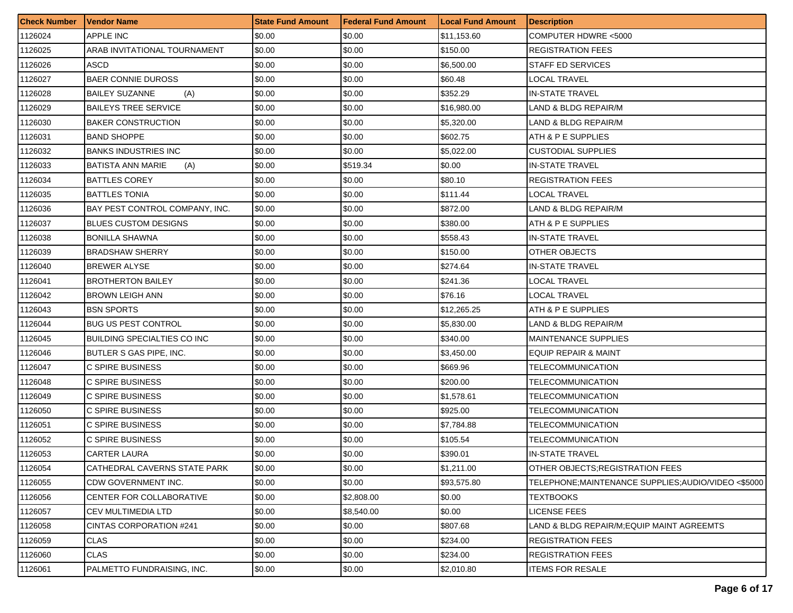| <b>Check Number</b> | Vendor Name                        | <b>State Fund Amount</b> | <b>Federal Fund Amount</b> | <b>Local Fund Amount</b> | <b>Description</b>                                 |
|---------------------|------------------------------------|--------------------------|----------------------------|--------------------------|----------------------------------------------------|
| 1126024             | <b>APPLE INC</b>                   | \$0.00                   | \$0.00                     | \$11,153.60              | COMPUTER HDWRE <5000                               |
| 1126025             | ARAB INVITATIONAL TOURNAMENT       | \$0.00                   | \$0.00                     | \$150.00                 | <b>REGISTRATION FEES</b>                           |
| 1126026             | ASCD                               | \$0.00                   | \$0.00                     | \$6,500.00               | STAFF ED SERVICES                                  |
| 1126027             | <b>BAER CONNIE DUROSS</b>          | \$0.00                   | \$0.00                     | \$60.48                  | <b>LOCAL TRAVEL</b>                                |
| 1126028             | <b>BAILEY SUZANNE</b><br>(A)       | \$0.00                   | \$0.00                     | \$352.29                 | <b>IN-STATE TRAVEL</b>                             |
| 1126029             | <b>BAILEYS TREE SERVICE</b>        | \$0.00                   | \$0.00                     | \$16,980.00              | LAND & BLDG REPAIR/M                               |
| 1126030             | <b>BAKER CONSTRUCTION</b>          | \$0.00                   | \$0.00                     | \$5,320.00               | LAND & BLDG REPAIR/M                               |
| 1126031             | <b>BAND SHOPPE</b>                 | \$0.00                   | \$0.00                     | \$602.75                 | ATH & P E SUPPLIES                                 |
| 1126032             | <b>BANKS INDUSTRIES INC</b>        | \$0.00                   | \$0.00                     | \$5,022.00               | <b>CUSTODIAL SUPPLIES</b>                          |
| 1126033             | BATISTA ANN MARIE<br>(A)           | \$0.00                   | \$519.34                   | \$0.00                   | IN-STATE TRAVEL                                    |
| 1126034             | <b>BATTLES COREY</b>               | \$0.00                   | \$0.00                     | \$80.10                  | <b>REGISTRATION FEES</b>                           |
| 1126035             | <b>BATTLES TONIA</b>               | \$0.00                   | \$0.00                     | \$111.44                 | LOCAL TRAVEL                                       |
| 1126036             | BAY PEST CONTROL COMPANY, INC.     | \$0.00                   | \$0.00                     | \$872.00                 | LAND & BLDG REPAIR/M                               |
| 1126037             | <b>BLUES CUSTOM DESIGNS</b>        | \$0.00                   | \$0.00                     | \$380.00                 | ATH & P E SUPPLIES                                 |
| 1126038             | <b>BONILLA SHAWNA</b>              | \$0.00                   | \$0.00                     | \$558.43                 | IN-STATE TRAVEL                                    |
| 1126039             | <b>BRADSHAW SHERRY</b>             | \$0.00                   | \$0.00                     | \$150.00                 | OTHER OBJECTS                                      |
| 1126040             | <b>BREWER ALYSE</b>                | \$0.00                   | \$0.00                     | \$274.64                 | <b>IN-STATE TRAVEL</b>                             |
| 1126041             | <b>BROTHERTON BAILEY</b>           | \$0.00                   | \$0.00                     | \$241.36                 | LOCAL TRAVEL                                       |
| 1126042             | <b>BROWN LEIGH ANN</b>             | \$0.00                   | \$0.00                     | \$76.16                  | <b>LOCAL TRAVEL</b>                                |
| 1126043             | <b>BSN SPORTS</b>                  | \$0.00                   | \$0.00                     | \$12,265.25              | ATH & P E SUPPLIES                                 |
| 1126044             | <b>BUG US PEST CONTROL</b>         | \$0.00                   | \$0.00                     | \$5,830.00               | LAND & BLDG REPAIR/M                               |
| 1126045             | <b>BUILDING SPECIALTIES CO INC</b> | \$0.00                   | \$0.00                     | \$340.00                 | <b>MAINTENANCE SUPPLIES</b>                        |
| 1126046             | <b>BUTLER S GAS PIPE, INC.</b>     | \$0.00                   | \$0.00                     | \$3,450.00               | <b>EQUIP REPAIR &amp; MAINT</b>                    |
| 1126047             | C SPIRE BUSINESS                   | \$0.00                   | \$0.00                     | \$669.96                 | TELECOMMUNICATION                                  |
| 1126048             | C SPIRE BUSINESS                   | \$0.00                   | \$0.00                     | \$200.00                 | TELECOMMUNICATION                                  |
| 1126049             | C SPIRE BUSINESS                   | \$0.00                   | \$0.00                     | \$1,578.61               | TELECOMMUNICATION                                  |
| 1126050             | C SPIRE BUSINESS                   | \$0.00                   | \$0.00                     | \$925.00                 | TELECOMMUNICATION                                  |
| 1126051             | C SPIRE BUSINESS                   | \$0.00                   | \$0.00                     | \$7,784.88               | TELECOMMUNICATION                                  |
| 1126052             | C SPIRE BUSINESS                   | \$0.00                   | \$0.00                     | \$105.54                 | TELECOMMUNICATION                                  |
| 1126053             | CARTER LAURA                       | \$0.00                   | \$0.00                     | \$390.01                 | <b>IN-STATE TRAVEL</b>                             |
| 1126054             | CATHEDRAL CAVERNS STATE PARK       | \$0.00                   | \$0.00                     | \$1,211.00               | OTHER OBJECTS; REGISTRATION FEES                   |
| 1126055             | CDW GOVERNMENT INC.                | \$0.00                   | \$0.00                     | \$93,575.80              | TELEPHONE;MAINTENANCE SUPPLIES;AUDIO/VIDEO <\$5000 |
| 1126056             | CENTER FOR COLLABORATIVE           | \$0.00                   | \$2,808.00                 | \$0.00                   | TEXTBOOKS                                          |
| 1126057             | CEV MULTIMEDIA LTD                 | \$0.00                   | \$8,540.00                 | \$0.00                   | <b>LICENSE FEES</b>                                |
| 1126058             | CINTAS CORPORATION #241            | \$0.00                   | \$0.00                     | \$807.68                 | LAND & BLDG REPAIR/M;EQUIP MAINT AGREEMTS          |
| 1126059             | CLAS                               | \$0.00                   | \$0.00                     | \$234.00                 | <b>REGISTRATION FEES</b>                           |
| 1126060             | CLAS                               | \$0.00                   | \$0.00                     | \$234.00                 | <b>REGISTRATION FEES</b>                           |
| 1126061             | PALMETTO FUNDRAISING, INC.         | \$0.00                   | \$0.00                     | \$2,010.80               | <b>ITEMS FOR RESALE</b>                            |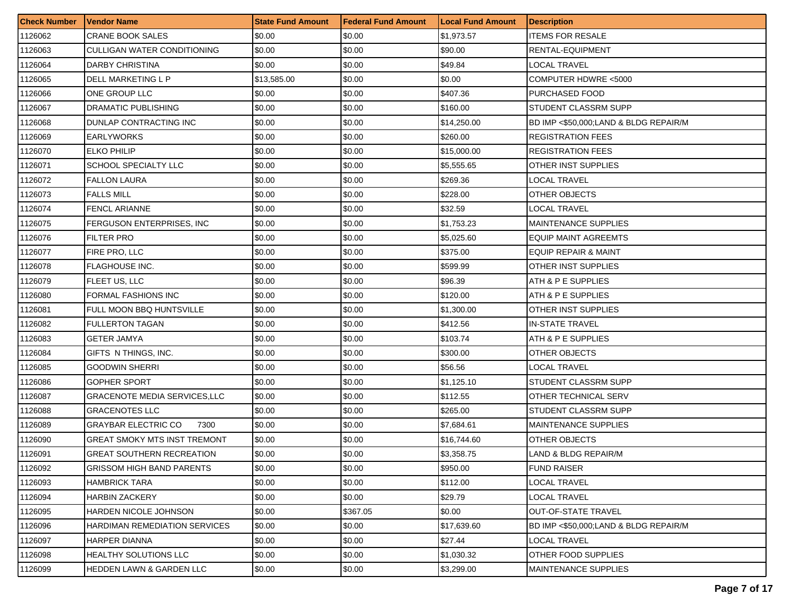| <b>Check Number</b> | <b>Vendor Name</b>                  | <b>State Fund Amount</b> | l Federal Fund Amount | <b>Local Fund Amount</b> | Description                           |
|---------------------|-------------------------------------|--------------------------|-----------------------|--------------------------|---------------------------------------|
| 1126062             | <b>CRANE BOOK SALES</b>             | \$0.00                   | \$0.00                | \$1,973.57               | ITEMS FOR RESALE                      |
| 1126063             | CULLIGAN WATER CONDITIONING         | \$0.00                   | \$0.00                | \$90.00                  | RENTAL-EQUIPMENT                      |
| 1126064             | <b>DARBY CHRISTINA</b>              | \$0.00                   | \$0.00                | \$49.84                  | LOCAL TRAVEL                          |
| 1126065             | DELL MARKETING L P                  | \$13,585.00              | \$0.00                | \$0.00                   | COMPUTER HDWRE <5000                  |
| 1126066             | ONE GROUP LLC                       | \$0.00                   | \$0.00                | \$407.36                 | PURCHASED FOOD                        |
| 1126067             | DRAMATIC PUBLISHING                 | \$0.00                   | \$0.00                | \$160.00                 | STUDENT CLASSRM SUPP                  |
| 1126068             | DUNLAP CONTRACTING INC              | \$0.00                   | \$0.00                | \$14,250.00              | BD IMP <\$50,000:LAND & BLDG REPAIR/M |
| 1126069             | <b>EARLYWORKS</b>                   | \$0.00                   | \$0.00                | \$260.00                 | <b>REGISTRATION FEES</b>              |
| 1126070             | <b>ELKO PHILIP</b>                  | \$0.00                   | \$0.00                | \$15,000.00              | <b>REGISTRATION FEES</b>              |
| 1126071             | SCHOOL SPECIALTY LLC                | \$0.00                   | \$0.00                | \$5,555.65               | OTHER INST SUPPLIES                   |
| 1126072             | <b>FALLON LAURA</b>                 | \$0.00                   | \$0.00                | \$269.36                 | LOCAL TRAVEL                          |
| 1126073             | <b>FALLS MILL</b>                   | \$0.00                   | \$0.00                | \$228.00                 | OTHER OBJECTS                         |
| 1126074             | <b>FENCL ARIANNE</b>                | \$0.00                   | \$0.00                | \$32.59                  | LOCAL TRAVEL                          |
| 1126075             | FERGUSON ENTERPRISES, INC.          | \$0.00                   | \$0.00                | \$1,753.23               | <b>MAINTENANCE SUPPLIES</b>           |
| 1126076             | FILTER PRO                          | \$0.00                   | \$0.00                | \$5,025.60               | <b>EQUIP MAINT AGREEMTS</b>           |
| 1126077             | FIRE PRO, LLC                       | \$0.00                   | \$0.00                | \$375.00                 | EQUIP REPAIR & MAINT                  |
| 1126078             | FLAGHOUSE INC.                      | \$0.00                   | \$0.00                | \$599.99                 | OTHER INST SUPPLIES                   |
| 1126079             | FLEET US, LLC                       | \$0.00                   | \$0.00                | \$96.39                  | ATH & P E SUPPLIES                    |
| 1126080             | <b>FORMAL FASHIONS INC</b>          | \$0.00                   | \$0.00                | \$120.00                 | ATH & P E SUPPLIES                    |
| 1126081             | FULL MOON BBQ HUNTSVILLE            | \$0.00                   | \$0.00                | \$1,300.00               | OTHER INST SUPPLIES                   |
| 1126082             | <b>FULLERTON TAGAN</b>              | \$0.00                   | \$0.00                | \$412.56                 | <b>IN-STATE TRAVEL</b>                |
| 1126083             | GETER JAMYA                         | \$0.00                   | \$0.00                | \$103.74                 | ATH & P E SUPPLIES                    |
| 1126084             | GIFTS IN THINGS, INC.               | \$0.00                   | \$0.00                | \$300.00                 | OTHER OBJECTS                         |
| 1126085             | <b>GOODWIN SHERRI</b>               | \$0.00                   | \$0.00                | \$56.56                  | LOCAL TRAVEL                          |
| 1126086             | <b>GOPHER SPORT</b>                 | \$0.00                   | \$0.00                | \$1,125.10               | STUDENT CLASSRM SUPP                  |
| 1126087             | <b>GRACENOTE MEDIA SERVICES,LLC</b> | \$0.00                   | \$0.00                | \$112.55                 | <b>OTHER TECHNICAL SERV</b>           |
| 1126088             | GRACENOTES LLC                      | \$0.00                   | \$0.00                | \$265.00                 | STUDENT CLASSRM SUPP                  |
| 1126089             | GRAYBAR ELECTRIC CO<br>7300         | \$0.00                   | \$0.00                | \$7,684.61               | <b>MAINTENANCE SUPPLIES</b>           |
| 1126090             | GREAT SMOKY MTS INST TREMONT        | \$0.00                   | \$0.00                | \$16,744.60              | OTHER OBJECTS                         |
| 1126091             | GREAT SOUTHERN RECREATION           | \$0.00                   | \$0.00                | \$3,358.75               | LAND & BLDG REPAIR/M                  |
| 1126092             | <b>GRISSOM HIGH BAND PARENTS</b>    | \$0.00                   | \$0.00                | \$950.00                 | <b>FUND RAISER</b>                    |
| 1126093             | <b>HAMBRICK TARA</b>                | \$0.00                   | \$0.00                | \$112.00                 | LOCAL TRAVEL                          |
| 1126094             | HARBIN ZACKERY                      | \$0.00                   | \$0.00                | \$29.79                  | LOCAL TRAVEL                          |
| 1126095             | HARDEN NICOLE JOHNSON               | \$0.00                   | \$367.05              | \$0.00                   | <b>OUT-OF-STATE TRAVEL</b>            |
| 1126096             | HARDIMAN REMEDIATION SERVICES       | \$0.00                   | \$0.00                | \$17,639.60              | BD IMP <\$50,000;LAND & BLDG REPAIR/M |
| 1126097             | HARPER DIANNA                       | \$0.00                   | \$0.00                | \$27.44                  | LOCAL TRAVEL                          |
| 1126098             | HEALTHY SOLUTIONS LLC               | \$0.00                   | \$0.00                | \$1,030.32               | OTHER FOOD SUPPLIES                   |
| 1126099             | HEDDEN LAWN & GARDEN LLC            | \$0.00                   | \$0.00                | \$3,299.00               | <b>MAINTENANCE SUPPLIES</b>           |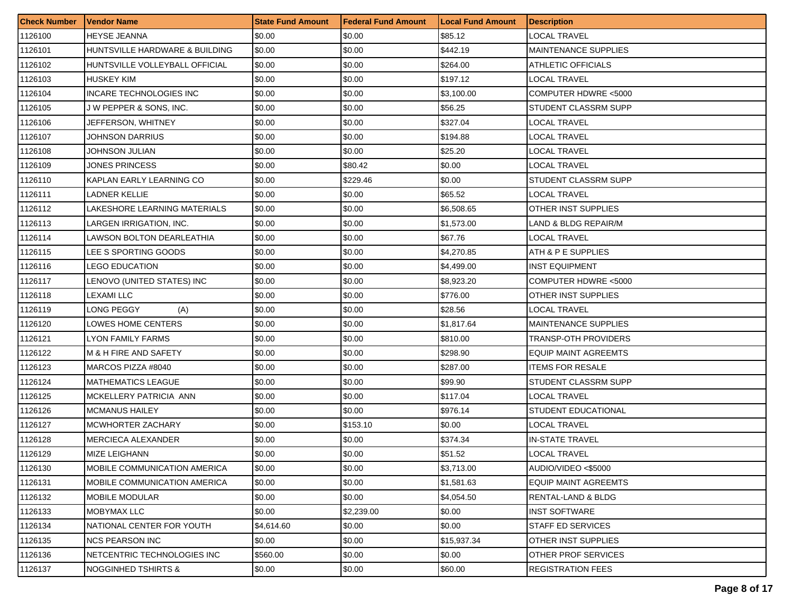| <b>Check Number</b> | <b>Vendor Name</b>                  | <b>State Fund Amount</b> | <b>Federal Fund Amount</b> | <b>Local Fund Amount</b> | <b>Description</b>          |
|---------------------|-------------------------------------|--------------------------|----------------------------|--------------------------|-----------------------------|
| 1126100             | <b>HEYSE JEANNA</b>                 | \$0.00                   | \$0.00                     | \$85.12                  | LOCAL TRAVEL                |
| 1126101             | HUNTSVILLE HARDWARE & BUILDING      | \$0.00                   | \$0.00                     | \$442.19                 | <b>MAINTENANCE SUPPLIES</b> |
| 1126102             | HUNTSVILLE VOLLEYBALL OFFICIAL      | \$0.00                   | \$0.00                     | \$264.00                 | ATHLETIC OFFICIALS          |
| 1126103             | <b>HUSKEY KIM</b>                   | \$0.00                   | \$0.00                     | \$197.12                 | <b>LOCAL TRAVEL</b>         |
| 1126104             | INCARE TECHNOLOGIES INC             | \$0.00                   | \$0.00                     | \$3,100.00               | COMPUTER HDWRE <5000        |
| 1126105             | J W PEPPER & SONS, INC.             | \$0.00                   | \$0.00                     | \$56.25                  | STUDENT CLASSRM SUPP        |
| 1126106             | JEFFERSON, WHITNEY                  | \$0.00                   | \$0.00                     | \$327.04                 | LOCAL TRAVEL                |
| 1126107             | JOHNSON DARRIUS                     | \$0.00                   | \$0.00                     | \$194.88                 | LOCAL TRAVEL                |
| 1126108             | JOHNSON JULIAN                      | \$0.00                   | \$0.00                     | \$25.20                  | LOCAL TRAVEL                |
| 1126109             | JONES PRINCESS                      | \$0.00                   | \$80.42                    | \$0.00                   | LOCAL TRAVEL                |
| 1126110             | KAPLAN EARLY LEARNING CO            | \$0.00                   | \$229.46                   | \$0.00                   | STUDENT CLASSRM SUPP        |
| 1126111             | LADNER KELLIE                       | \$0.00                   | \$0.00                     | \$65.52                  | LOCAL TRAVEL                |
| 1126112             | LAKESHORE LEARNING MATERIALS        | \$0.00                   | \$0.00                     | \$6,508.65               | OTHER INST SUPPLIES         |
| 1126113             | <b>LARGEN IRRIGATION. INC.</b>      | \$0.00                   | \$0.00                     | \$1,573.00               | LAND & BLDG REPAIR/M        |
| 1126114             | <b>LAWSON BOLTON DEARLEATHIA</b>    | \$0.00                   | \$0.00                     | \$67.76                  | LOCAL TRAVEL                |
| 1126115             | LEE S SPORTING GOODS                | \$0.00                   | \$0.00                     | \$4,270.85               | ATH & P E SUPPLIES          |
| 1126116             | <b>LEGO EDUCATION</b>               | \$0.00                   | \$0.00                     | \$4,499.00               | <b>INST EQUIPMENT</b>       |
| 1126117             | LENOVO (UNITED STATES) INC          | \$0.00                   | \$0.00                     | \$8,923.20               | COMPUTER HDWRE <5000        |
| 1126118             | LEXAMI LLC                          | \$0.00                   | \$0.00                     | \$776.00                 | OTHER INST SUPPLIES         |
| 1126119             | LONG PEGGY<br>(A)                   | \$0.00                   | \$0.00                     | \$28.56                  | <b>LOCAL TRAVEL</b>         |
| 1126120             | LOWES HOME CENTERS                  | \$0.00                   | \$0.00                     | \$1,817.64               | <b>MAINTENANCE SUPPLIES</b> |
| 1126121             | <b>LYON FAMILY FARMS</b>            | \$0.00                   | \$0.00                     | \$810.00                 | TRANSP-OTH PROVIDERS        |
| 1126122             | M & H FIRE AND SAFETY               | \$0.00                   | \$0.00                     | \$298.90                 | <b>EQUIP MAINT AGREEMTS</b> |
| 1126123             | MARCOS PIZZA #8040                  | \$0.00                   | \$0.00                     | \$287.00                 | <b>ITEMS FOR RESALE</b>     |
| 1126124             | <b>MATHEMATICS LEAGUE</b>           | \$0.00                   | \$0.00                     | \$99.90                  | STUDENT CLASSRM SUPP        |
| 1126125             | MCKELLERY PATRICIA ANN              | \$0.00                   | \$0.00                     | \$117.04                 | <b>LOCAL TRAVEL</b>         |
| 1126126             | <b>MCMANUS HAILEY</b>               | \$0.00                   | \$0.00                     | \$976.14                 | STUDENT EDUCATIONAL         |
| 1126127             | <b>MCWHORTER ZACHARY</b>            | \$0.00                   | \$153.10                   | \$0.00                   | <b>LOCAL TRAVEL</b>         |
| 1126128             | <b>MERCIECA ALEXANDER</b>           | \$0.00                   | \$0.00                     | \$374.34                 | IN-STATE TRAVEL             |
| 1126129             | MIZE LEIGHANN                       | \$0.00                   | \$0.00                     | \$51.52                  | <b>LOCAL TRAVEL</b>         |
| 1126130             | <b>MOBILE COMMUNICATION AMERICA</b> | \$0.00                   | \$0.00                     | \$3,713.00               | AUDIO/VIDEO <\$5000         |
| 1126131             | MOBILE COMMUNICATION AMERICA        | \$0.00                   | \$0.00                     | \$1,581.63               | <b>EQUIP MAINT AGREEMTS</b> |
| 1126132             | <b>MOBILE MODULAR</b>               | \$0.00                   | \$0.00                     | \$4,054.50               | RENTAL-LAND & BLDG          |
| 1126133             | MOBYMAX LLC                         | \$0.00                   | \$2,239.00                 | \$0.00                   | <b>INST SOFTWARE</b>        |
| 1126134             | NATIONAL CENTER FOR YOUTH           | \$4,614.60               | \$0.00                     | \$0.00                   | <b>STAFF ED SERVICES</b>    |
| 1126135             | <b>INCS PEARSON INC</b>             | \$0.00                   | \$0.00                     | \$15,937.34              | OTHER INST SUPPLIES         |
| 1126136             | NETCENTRIC TECHNOLOGIES INC         | \$560.00                 | \$0.00                     | \$0.00                   | OTHER PROF SERVICES         |
| 1126137             | <b>NOGGINHED TSHIRTS &amp;</b>      | \$0.00                   | \$0.00                     | \$60.00                  | <b>REGISTRATION FEES</b>    |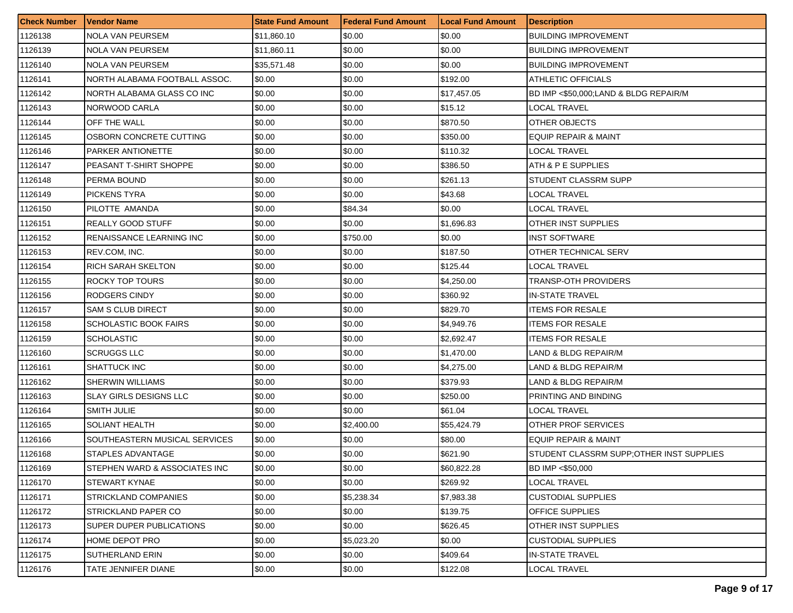| <b>Check Number</b> | <b>Vendor Name</b>            | <b>State Fund Amount</b> | <b>Federal Fund Amount</b> | <b>Local Fund Amount</b> | <b>Description</b>                        |
|---------------------|-------------------------------|--------------------------|----------------------------|--------------------------|-------------------------------------------|
| 1126138             | <b>NOLA VAN PEURSEM</b>       | \$11,860.10              | \$0.00                     | \$0.00                   | <b>BUILDING IMPROVEMENT</b>               |
| 1126139             | <b>NOLA VAN PEURSEM</b>       | \$11,860.11              | \$0.00                     | \$0.00                   | <b>BUILDING IMPROVEMENT</b>               |
| 1126140             | <b>NOLA VAN PEURSEM</b>       | \$35,571.48              | \$0.00                     | \$0.00                   | <b>BUILDING IMPROVEMENT</b>               |
| 1126141             | NORTH ALABAMA FOOTBALL ASSOC. | \$0.00                   | \$0.00                     | \$192.00                 | <b>ATHLETIC OFFICIALS</b>                 |
| 1126142             | NORTH ALABAMA GLASS CO INC    | \$0.00                   | \$0.00                     | \$17,457.05              | BD IMP <\$50,000;LAND & BLDG REPAIR/M     |
| 1126143             | NORWOOD CARLA                 | \$0.00                   | \$0.00                     | \$15.12                  | LOCAL TRAVEL                              |
| 1126144             | OFF THE WALL                  | \$0.00                   | \$0.00                     | \$870.50                 | OTHER OBJECTS                             |
| 1126145             | OSBORN CONCRETE CUTTING       | \$0.00                   | \$0.00                     | \$350.00                 | EQUIP REPAIR & MAINT                      |
| 1126146             | PARKER ANTIONETTE             | \$0.00                   | \$0.00                     | \$110.32                 | <b>LOCAL TRAVEL</b>                       |
| 1126147             | PEASANT T-SHIRT SHOPPE        | \$0.00                   | \$0.00                     | \$386.50                 | ATH & P E SUPPLIES                        |
| 1126148             | PERMA BOUND                   | \$0.00                   | \$0.00                     | \$261.13                 | STUDENT CLASSRM SUPP                      |
| 1126149             | <b>PICKENS TYRA</b>           | \$0.00                   | \$0.00                     | \$43.68                  | LOCAL TRAVEL                              |
| 1126150             | PILOTTE AMANDA                | \$0.00                   | \$84.34                    | \$0.00                   | LOCAL TRAVEL                              |
| 1126151             | <b>REALLY GOOD STUFF</b>      | \$0.00                   | \$0.00                     | \$1,696.83               | OTHER INST SUPPLIES                       |
| 1126152             | RENAISSANCE LEARNING INC      | \$0.00                   | \$750.00                   | \$0.00                   | <b>INST SOFTWARE</b>                      |
| 1126153             | REV.COM, INC.                 | \$0.00                   | \$0.00                     | \$187.50                 | OTHER TECHNICAL SERV                      |
| 1126154             | <b>RICH SARAH SKELTON</b>     | \$0.00                   | \$0.00                     | \$125.44                 | LOCAL TRAVEL                              |
| 1126155             | ROCKY TOP TOURS               | \$0.00                   | \$0.00                     | \$4.250.00               | TRANSP-OTH PROVIDERS                      |
| 1126156             | RODGERS CINDY                 | \$0.00                   | \$0.00                     | \$360.92                 | <b>IN-STATE TRAVEL</b>                    |
| 1126157             | SAM S CLUB DIRECT             | \$0.00                   | \$0.00                     | \$829.70                 | <b>ITEMS FOR RESALE</b>                   |
| 1126158             | SCHOLASTIC BOOK FAIRS         | \$0.00                   | \$0.00                     | \$4,949.76               | <b>ITEMS FOR RESALE</b>                   |
| 1126159             | <b>SCHOLASTIC</b>             | \$0.00                   | \$0.00                     | \$2,692.47               | <b>ITEMS FOR RESALE</b>                   |
| 1126160             | <b>SCRUGGS LLC</b>            | \$0.00                   | \$0.00                     | \$1,470.00               | LAND & BLDG REPAIR/M                      |
| 1126161             | <b>SHATTUCK INC</b>           | \$0.00                   | \$0.00                     | \$4,275.00               | LAND & BLDG REPAIR/M                      |
| 1126162             | SHERWIN WILLIAMS              | \$0.00                   | \$0.00                     | \$379.93                 | LAND & BLDG REPAIR/M                      |
| 1126163             | <b>SLAY GIRLS DESIGNS LLC</b> | \$0.00                   | \$0.00                     | \$250.00                 | PRINTING AND BINDING                      |
| 1126164             | SMITH JULIE                   | \$0.00                   | \$0.00                     | \$61.04                  | LOCAL TRAVEL                              |
| 1126165             | <b>SOLIANT HEALTH</b>         | \$0.00                   | \$2,400.00                 | \$55,424.79              | OTHER PROF SERVICES                       |
| 1126166             | SOUTHEASTERN MUSICAL SERVICES | \$0.00                   | \$0.00                     | \$80.00                  | <b>EQUIP REPAIR &amp; MAINT</b>           |
| 1126168             | STAPLES ADVANTAGE             | \$0.00                   | \$0.00                     | \$621.90                 | STUDENT CLASSRM SUPP: OTHER INST SUPPLIES |
| 1126169             | STEPHEN WARD & ASSOCIATES INC | \$0.00                   | \$0.00                     | \$60,822.28              | BD IMP <\$50,000                          |
| 1126170             | <b>STEWART KYNAE</b>          | \$0.00                   | \$0.00                     | \$269.92                 | LOCAL TRAVEL                              |
| 1126171             | <b>STRICKLAND COMPANIES</b>   | \$0.00                   | \$5,238.34                 | \$7,983.38               | <b>CUSTODIAL SUPPLIES</b>                 |
| 1126172             | STRICKLAND PAPER CO           | \$0.00                   | \$0.00                     | \$139.75                 | <b>OFFICE SUPPLIES</b>                    |
| 1126173             | SUPER DUPER PUBLICATIONS      | \$0.00                   | \$0.00                     | \$626.45                 | OTHER INST SUPPLIES                       |
| 1126174             | HOME DEPOT PRO                | \$0.00                   | \$5,023.20                 | \$0.00                   | <b>CUSTODIAL SUPPLIES</b>                 |
| 1126175             | SUTHERLAND ERIN               | \$0.00                   | \$0.00                     | \$409.64                 | IN-STATE TRAVEL                           |
| 1126176             | TATE JENNIFER DIANE           | \$0.00                   | \$0.00                     | \$122.08                 | LOCAL TRAVEL                              |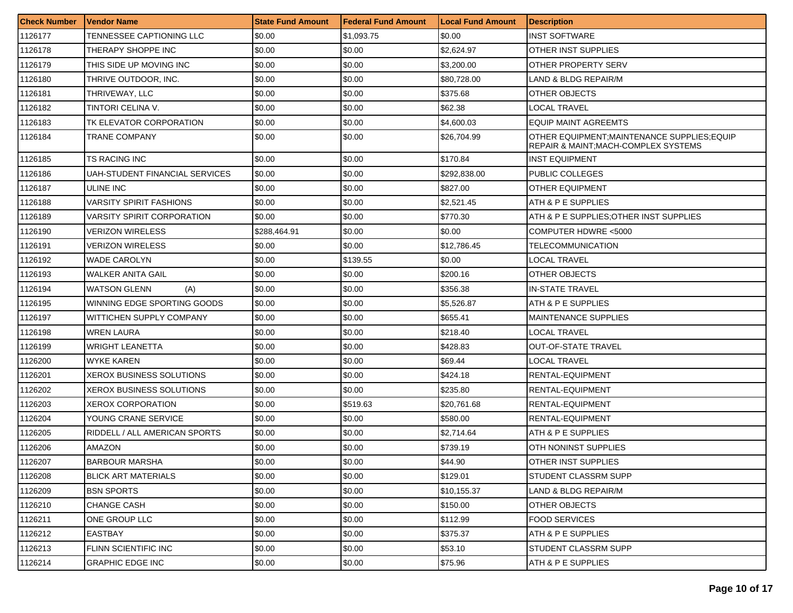| <b>Check Number</b> | l Vendor Name                  | <b>State Fund Amount</b> | Federal Fund Amount | <b>Local Fund Amount</b> | <b>Description</b>                                                                  |
|---------------------|--------------------------------|--------------------------|---------------------|--------------------------|-------------------------------------------------------------------------------------|
| 1126177             | TENNESSEE CAPTIONING LLC       | \$0.00                   | \$1,093.75          | \$0.00                   | <b>INST SOFTWARE</b>                                                                |
| 1126178             | THERAPY SHOPPE INC             | \$0.00                   | \$0.00              | \$2,624.97               | OTHER INST SUPPLIES                                                                 |
| 1126179             | THIS SIDE UP MOVING INC        | \$0.00                   | \$0.00              | \$3,200.00               | OTHER PROPERTY SERV                                                                 |
| 1126180             | THRIVE OUTDOOR, INC.           | \$0.00                   | \$0.00              | \$80.728.00              | LAND & BLDG REPAIR/M                                                                |
| 1126181             | THRIVEWAY, LLC                 | \$0.00                   | \$0.00              | \$375.68                 | OTHER OBJECTS                                                                       |
| 1126182             | TINTORI CELINA V.              | \$0.00                   | \$0.00              | \$62.38                  | <b>LOCAL TRAVEL</b>                                                                 |
| 1126183             | TK ELEVATOR CORPORATION        | \$0.00                   | \$0.00              | \$4,600.03               | <b>EQUIP MAINT AGREEMTS</b>                                                         |
| 1126184             | TRANE COMPANY                  | \$0.00                   | \$0.00              | \$26,704.99              | OTHER EQUIPMENT; MAINTENANCE SUPPLIES; EQUIP<br>REPAIR & MAINT;MACH-COMPLEX SYSTEMS |
| 1126185             | TS RACING INC                  | \$0.00                   | \$0.00              | \$170.84                 | <b>INST EQUIPMENT</b>                                                               |
| 1126186             | UAH-STUDENT FINANCIAL SERVICES | \$0.00                   | \$0.00              | \$292,838.00             | PUBLIC COLLEGES                                                                     |
| 1126187             | ULINE INC                      | \$0.00                   | \$0.00              | \$827.00                 | OTHER EQUIPMENT                                                                     |
| 1126188             | VARSITY SPIRIT FASHIONS        | \$0.00                   | \$0.00              | \$2,521.45               | ATH & P E SUPPLIES                                                                  |
| 1126189             | VARSITY SPIRIT CORPORATION     | \$0.00                   | \$0.00              | \$770.30                 | ATH & P E SUPPLIES; OTHER INST SUPPLIES                                             |
| 1126190             | <b>VERIZON WIRELESS</b>        | \$288,464.91             | \$0.00              | \$0.00                   | COMPUTER HDWRE <5000                                                                |
| 1126191             | <b>VERIZON WIRELESS</b>        | \$0.00                   | \$0.00              | \$12,786.45              | TELECOMMUNICATION                                                                   |
| 1126192             | <b>WADE CAROLYN</b>            | \$0.00                   | \$139.55            | \$0.00                   | <b>LOCAL TRAVEL</b>                                                                 |
| 1126193             | WALKER ANITA GAIL              | \$0.00                   | \$0.00              | \$200.16                 | OTHER OBJECTS                                                                       |
| 1126194             | <b>WATSON GLENN</b><br>(A)     | \$0.00                   | \$0.00              | \$356.38                 | <b>IN-STATE TRAVEL</b>                                                              |
| 1126195             | WINNING EDGE SPORTING GOODS    | \$0.00                   | \$0.00              | \$5,526.87               | ATH & P E SUPPLIES                                                                  |
| 1126197             | WITTICHEN SUPPLY COMPANY       | \$0.00                   | \$0.00              | \$655.41                 | MAINTENANCE SUPPLIES                                                                |
| 1126198             | WREN LAURA                     | \$0.00                   | \$0.00              | \$218.40                 | LOCAL TRAVEL                                                                        |
| 1126199             | <b>WRIGHT LEANETTA</b>         | \$0.00                   | \$0.00              | \$428.83                 | <b>OUT-OF-STATE TRAVEL</b>                                                          |
| 1126200             | <b>WYKE KAREN</b>              | \$0.00                   | \$0.00              | \$69.44                  | LOCAL TRAVEL                                                                        |
| 1126201             | XEROX BUSINESS SOLUTIONS       | \$0.00                   | \$0.00              | \$424.18                 | RENTAL-EQUIPMENT                                                                    |
| 1126202             | XEROX BUSINESS SOLUTIONS       | \$0.00                   | \$0.00              | \$235.80                 | RENTAL-EQUIPMENT                                                                    |
| 1126203             | XEROX CORPORATION              | \$0.00                   | \$519.63            | \$20,761.68              | RENTAL-EQUIPMENT                                                                    |
| 1126204             | YOUNG CRANE SERVICE            | \$0.00                   | \$0.00              | \$580.00                 | RENTAL-EQUIPMENT                                                                    |
| 1126205             | RIDDELL / ALL AMERICAN SPORTS  | \$0.00                   | \$0.00              | \$2,714.64               | ATH & P E SUPPLIES                                                                  |
| 1126206             | AMAZON                         | \$0.00                   | \$0.00              | \$739.19                 | OTH NONINST SUPPLIES                                                                |
| 1126207             | <b>BARBOUR MARSHA</b>          | \$0.00                   | \$0.00              | \$44.90                  | OTHER INST SUPPLIES                                                                 |
| 1126208             | <b>BLICK ART MATERIALS</b>     | \$0.00                   | \$0.00              | \$129.01                 | STUDENT CLASSRM SUPP                                                                |
| 1126209             | <b>BSN SPORTS</b>              | \$0.00                   | \$0.00              | \$10,155.37              | LAND & BLDG REPAIR/M                                                                |
| 1126210             | <b>CHANGE CASH</b>             | \$0.00                   | \$0.00              | \$150.00                 | OTHER OBJECTS                                                                       |
| 1126211             | ONE GROUP LLC                  | \$0.00                   | \$0.00              | \$112.99                 | FOOD SERVICES                                                                       |
| 1126212             | <b>EASTBAY</b>                 | \$0.00                   | \$0.00              | \$375.37                 | ATH & P E SUPPLIES                                                                  |
| 1126213             | <b>FLINN SCIENTIFIC INC</b>    | \$0.00                   | \$0.00              | \$53.10                  | STUDENT CLASSRM SUPP                                                                |
| 1126214             | <b>GRAPHIC EDGE INC</b>        | \$0.00                   | \$0.00              | \$75.96                  | ATH & P E SUPPLIES                                                                  |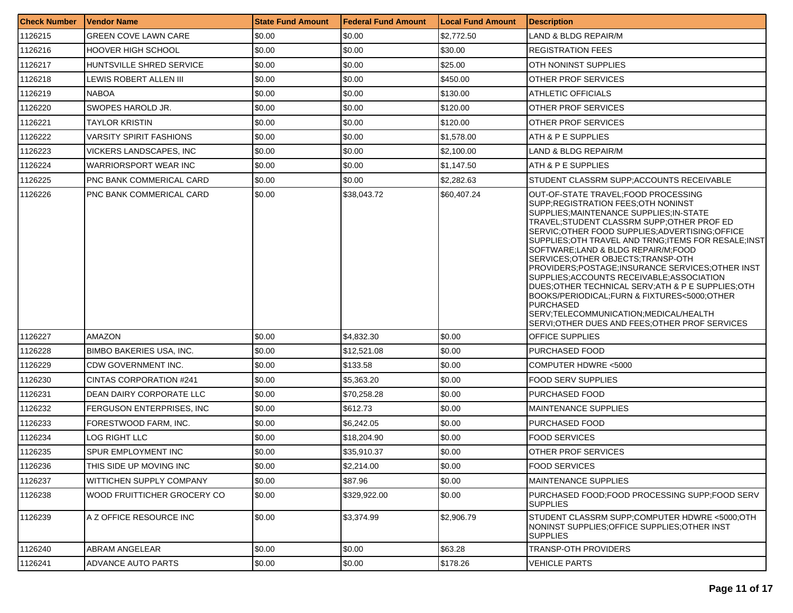| <b>Check Number</b> | <b>Vendor Name</b>              | <b>State Fund Amount</b> | <b>Federal Fund Amount</b> | <b>Local Fund Amount</b> | <b>Description</b>                                                                                                                                                                                                                                                                                                                                                                                                                                                                                                                                                                                                                                                                |
|---------------------|---------------------------------|--------------------------|----------------------------|--------------------------|-----------------------------------------------------------------------------------------------------------------------------------------------------------------------------------------------------------------------------------------------------------------------------------------------------------------------------------------------------------------------------------------------------------------------------------------------------------------------------------------------------------------------------------------------------------------------------------------------------------------------------------------------------------------------------------|
| 1126215             | GREEN COVE LAWN CARE            | \$0.00                   | \$0.00                     | \$2,772.50               | <b>LAND &amp; BLDG REPAIR/M</b>                                                                                                                                                                                                                                                                                                                                                                                                                                                                                                                                                                                                                                                   |
| 1126216             | <b>HOOVER HIGH SCHOOL</b>       | \$0.00                   | \$0.00                     | \$30.00                  | <b>REGISTRATION FEES</b>                                                                                                                                                                                                                                                                                                                                                                                                                                                                                                                                                                                                                                                          |
| 1126217             | HUNTSVILLE SHRED SERVICE        | \$0.00                   | \$0.00                     | \$25.00                  | <b>OTH NONINST SUPPLIES</b>                                                                                                                                                                                                                                                                                                                                                                                                                                                                                                                                                                                                                                                       |
| 1126218             | LEWIS ROBERT ALLEN III          | \$0.00                   | \$0.00                     | \$450.00                 | <b>OTHER PROF SERVICES</b>                                                                                                                                                                                                                                                                                                                                                                                                                                                                                                                                                                                                                                                        |
| 1126219             | <b>NABOA</b>                    | \$0.00                   | \$0.00                     | \$130.00                 | <b>ATHLETIC OFFICIALS</b>                                                                                                                                                                                                                                                                                                                                                                                                                                                                                                                                                                                                                                                         |
| 1126220             | SWOPES HAROLD JR.               | \$0.00                   | \$0.00                     | \$120.00                 | <b>OTHER PROF SERVICES</b>                                                                                                                                                                                                                                                                                                                                                                                                                                                                                                                                                                                                                                                        |
| 1126221             | TAYLOR KRISTIN                  | \$0.00                   | \$0.00                     | \$120.00                 | <b>OTHER PROF SERVICES</b>                                                                                                                                                                                                                                                                                                                                                                                                                                                                                                                                                                                                                                                        |
| 1126222             | <b>VARSITY SPIRIT FASHIONS</b>  | \$0.00                   | \$0.00                     | \$1,578.00               | ATH & P E SUPPLIES                                                                                                                                                                                                                                                                                                                                                                                                                                                                                                                                                                                                                                                                |
| 1126223             | VICKERS LANDSCAPES, INC.        | \$0.00                   | \$0.00                     | \$2,100.00               | LAND & BLDG REPAIR/M                                                                                                                                                                                                                                                                                                                                                                                                                                                                                                                                                                                                                                                              |
| 1126224             | WARRIORSPORT WEAR INC           | \$0.00                   | \$0.00                     | \$1,147.50               | ATH & P E SUPPLIES                                                                                                                                                                                                                                                                                                                                                                                                                                                                                                                                                                                                                                                                |
| 1126225             | PNC BANK COMMERICAL CARD        | \$0.00                   | \$0.00                     | \$2,282.63               | STUDENT CLASSRM SUPP: ACCOUNTS RECEIVABLE                                                                                                                                                                                                                                                                                                                                                                                                                                                                                                                                                                                                                                         |
| 1126226             | PNC BANK COMMERICAL CARD        | \$0.00                   | \$38,043.72                | \$60,407.24              | OUT-OF-STATE TRAVEL;FOOD PROCESSING<br>SUPP, REGISTRATION FEES; OTH NONINST<br>SUPPLIES; MAINTENANCE SUPPLIES; IN-STATE<br>TRAVEL:STUDENT CLASSRM SUPP:OTHER PROF ED<br>SERVIC; OTHER FOOD SUPPLIES; ADVERTISING; OFFICE<br>SUPPLIES: OTH TRAVEL AND TRNG ITEMS FOR RESALE INST<br>SOFTWARE;LAND & BLDG REPAIR/M;FOOD<br>SERVICES; OTHER OBJECTS; TRANSP-OTH<br>PROVIDERS;POSTAGE;INSURANCE SERVICES;OTHER INST<br>SUPPLIES; ACCOUNTS RECEIVABLE; ASSOCIATION<br>DUES; OTHER TECHNICAL SERV; ATH & P E SUPPLIES; OTH<br>BOOKS/PERIODICAL;FURN & FIXTURES<5000;OTHER<br><b>PURCHASED</b><br>SERV:TELECOMMUNICATION:MEDICAL/HEALTH<br>SERVI:OTHER DUES AND FEES:OTHER PROF SERVICES |
| 1126227             | AMAZON                          | \$0.00                   | \$4,832.30                 | \$0.00                   | <b>OFFICE SUPPLIES</b>                                                                                                                                                                                                                                                                                                                                                                                                                                                                                                                                                                                                                                                            |
| 1126228             | <b>BIMBO BAKERIES USA, INC.</b> | \$0.00                   | \$12,521.08                | \$0.00                   | <b>PURCHASED FOOD</b>                                                                                                                                                                                                                                                                                                                                                                                                                                                                                                                                                                                                                                                             |
| 1126229             | CDW GOVERNMENT INC.             | \$0.00                   | \$133.58                   | \$0.00                   | COMPUTER HDWRE <5000                                                                                                                                                                                                                                                                                                                                                                                                                                                                                                                                                                                                                                                              |
| 1126230             | CINTAS CORPORATION #241         | \$0.00                   | \$5,363.20                 | \$0.00                   | <b>FOOD SERV SUPPLIES</b>                                                                                                                                                                                                                                                                                                                                                                                                                                                                                                                                                                                                                                                         |
| 1126231             | DEAN DAIRY CORPORATE LLC        | \$0.00                   | \$70,258.28                | \$0.00                   | <b>PURCHASED FOOD</b>                                                                                                                                                                                                                                                                                                                                                                                                                                                                                                                                                                                                                                                             |
| 1126232             | FERGUSON ENTERPRISES, INC.      | \$0.00                   | \$612.73                   | \$0.00                   | <b>MAINTENANCE SUPPLIES</b>                                                                                                                                                                                                                                                                                                                                                                                                                                                                                                                                                                                                                                                       |
| 1126233             | FORESTWOOD FARM, INC.           | \$0.00                   | \$6,242.05                 | \$0.00                   | <b>PURCHASED FOOD</b>                                                                                                                                                                                                                                                                                                                                                                                                                                                                                                                                                                                                                                                             |
| 1126234             | LOG RIGHT LLC                   | \$0.00                   | \$18,204.90                | \$0.00                   | <b>FOOD SERVICES</b>                                                                                                                                                                                                                                                                                                                                                                                                                                                                                                                                                                                                                                                              |
| 1126235             | SPUR EMPLOYMENT INC             | \$0.00                   | \$35.910.37                | \$0.00                   | <b>OTHER PROF SERVICES</b>                                                                                                                                                                                                                                                                                                                                                                                                                                                                                                                                                                                                                                                        |
| 1126236             | THIS SIDE UP MOVING INC         | \$0.00                   | \$2,214.00                 | \$0.00                   | <b>FOOD SERVICES</b>                                                                                                                                                                                                                                                                                                                                                                                                                                                                                                                                                                                                                                                              |
| 1126237             | WITTICHEN SUPPLY COMPANY        | \$0.00                   | \$87.96                    | \$0.00                   | <b>MAINTENANCE SUPPLIES</b>                                                                                                                                                                                                                                                                                                                                                                                                                                                                                                                                                                                                                                                       |
| 1126238             | WOOD FRUITTICHER GROCERY CO     | \$0.00                   | \$329,922.00               | \$0.00                   | PURCHASED FOOD: FOOD PROCESSING SUPP: FOOD SERV<br><b>SUPPLIES</b>                                                                                                                                                                                                                                                                                                                                                                                                                                                                                                                                                                                                                |
| 1126239             | A Z OFFICE RESOURCE INC.        | \$0.00                   | \$3,374.99                 | \$2,906.79               | STUDENT CLASSRM SUPP;COMPUTER HDWRE <5000;OTH<br>NONINST SUPPLIES;OFFICE SUPPLIES;OTHER INST<br><b>SUPPLIES</b>                                                                                                                                                                                                                                                                                                                                                                                                                                                                                                                                                                   |
| 1126240             | ABRAM ANGELEAR                  | \$0.00                   | \$0.00                     | \$63.28                  | TRANSP-OTH PROVIDERS                                                                                                                                                                                                                                                                                                                                                                                                                                                                                                                                                                                                                                                              |
| 1126241             | ADVANCE AUTO PARTS              | \$0.00                   | \$0.00                     | \$178.26                 | <b>VEHICLE PARTS</b>                                                                                                                                                                                                                                                                                                                                                                                                                                                                                                                                                                                                                                                              |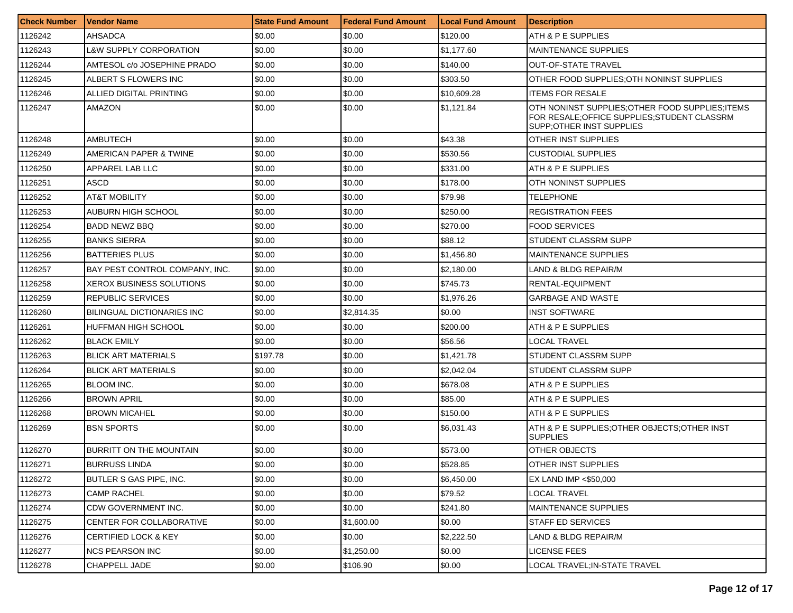| <b>Check Number</b> | <b>Vendor Name</b>                | <b>State Fund Amount</b> | <b>Federal Fund Amount</b> | <b>Local Fund Amount</b> | <b>Description</b>                                                                                                            |
|---------------------|-----------------------------------|--------------------------|----------------------------|--------------------------|-------------------------------------------------------------------------------------------------------------------------------|
| 1126242             | AHSADCA                           | \$0.00                   | \$0.00                     | \$120.00                 | ATH & P E SUPPLIES                                                                                                            |
| 1126243             | L&W SUPPLY CORPORATION            | \$0.00                   | \$0.00                     | \$1,177.60               | <b>MAINTENANCE SUPPLIES</b>                                                                                                   |
| 1126244             | AMTESOL c/o JOSEPHINE PRADO       | \$0.00                   | \$0.00                     | \$140.00                 | <b>OUT-OF-STATE TRAVEL</b>                                                                                                    |
| 1126245             | ALBERT S FLOWERS INC              | \$0.00                   | \$0.00                     | \$303.50                 | OTHER FOOD SUPPLIES:OTH NONINST SUPPLIES                                                                                      |
| 1126246             | ALLIED DIGITAL PRINTING           | \$0.00                   | \$0.00                     | \$10,609.28              | <b>ITEMS FOR RESALE</b>                                                                                                       |
| 1126247             | AMAZON                            | \$0.00                   | \$0.00                     | \$1,121.84               | OTH NONINST SUPPLIES: OTHER FOOD SUPPLIES: ITEMS<br>FOR RESALE; OFFICE SUPPLIES; STUDENT CLASSRM<br>SUPP: OTHER INST SUPPLIES |
| 1126248             | <b>AMBUTECH</b>                   | \$0.00                   | \$0.00                     | \$43.38                  | OTHER INST SUPPLIES                                                                                                           |
| 1126249             | AMERICAN PAPER & TWINE            | \$0.00                   | \$0.00                     | \$530.56                 | CUSTODIAL SUPPLIES                                                                                                            |
| 1126250             | APPAREL LAB LLC                   | \$0.00                   | \$0.00                     | \$331.00                 | ATH & P E SUPPLIES                                                                                                            |
| 1126251             | ASCD                              | \$0.00                   | \$0.00                     | \$178.00                 | OTH NONINST SUPPLIES                                                                                                          |
| 1126252             | AT&T MOBILITY                     | \$0.00                   | \$0.00                     | \$79.98                  | TELEPHONE                                                                                                                     |
| 1126253             | AUBURN HIGH SCHOOL                | \$0.00                   | \$0.00                     | \$250.00                 | <b>REGISTRATION FEES</b>                                                                                                      |
| 1126254             | <b>BADD NEWZ BBQ</b>              | \$0.00                   | \$0.00                     | \$270.00                 | <b>FOOD SERVICES</b>                                                                                                          |
| 1126255             | <b>BANKS SIERRA</b>               | \$0.00                   | \$0.00                     | \$88.12                  | <b>STUDENT CLASSRM SUPP</b>                                                                                                   |
| 1126256             | <b>BATTERIES PLUS</b>             | \$0.00                   | \$0.00                     | \$1,456.80               | MAINTENANCE SUPPLIES                                                                                                          |
| 1126257             | BAY PEST CONTROL COMPANY, INC.    | \$0.00                   | \$0.00                     | \$2,180.00               | LAND & BLDG REPAIR/M                                                                                                          |
| 1126258             | <b>XEROX BUSINESS SOLUTIONS</b>   | \$0.00                   | \$0.00                     | \$745.73                 | RENTAL-EQUIPMENT                                                                                                              |
| 1126259             | REPUBLIC SERVICES                 | \$0.00                   | \$0.00                     | \$1,976.26               | GARBAGE AND WASTE                                                                                                             |
| 1126260             | <b>BILINGUAL DICTIONARIES INC</b> | \$0.00                   | \$2,814.35                 | \$0.00                   | <b>INST SOFTWARE</b>                                                                                                          |
| 1126261             | <b>HUFFMAN HIGH SCHOOL</b>        | \$0.00                   | \$0.00                     | \$200.00                 | ATH & P E SUPPLIES                                                                                                            |
| 1126262             | <b>BLACK EMILY</b>                | \$0.00                   | \$0.00                     | \$56.56                  | LOCAL TRAVEL                                                                                                                  |
| 1126263             | <b>BLICK ART MATERIALS</b>        | \$197.78                 | \$0.00                     | \$1,421.78               | STUDENT CLASSRM SUPP                                                                                                          |
| 1126264             | <b>BLICK ART MATERIALS</b>        | \$0.00                   | \$0.00                     | \$2,042.04               | STUDENT CLASSRM SUPP                                                                                                          |
| 1126265             | <b>BLOOM INC.</b>                 | \$0.00                   | \$0.00                     | \$678.08                 | ATH & P E SUPPLIES                                                                                                            |
| 1126266             | <b>BROWN APRIL</b>                | \$0.00                   | \$0.00                     | \$85.00                  | ATH & P E SUPPLIES                                                                                                            |
| 1126268             | <b>BROWN MICAHEL</b>              | \$0.00                   | \$0.00                     | \$150.00                 | ATH & P E SUPPLIES                                                                                                            |
| 1126269             | <b>BSN SPORTS</b>                 | \$0.00                   | \$0.00                     | \$6,031.43               | ATH & P E SUPPLIES: OTHER OBJECTS: OTHER INST<br><b>SUPPLIES</b>                                                              |
| 1126270             | <b>BURRITT ON THE MOUNTAIN</b>    | \$0.00                   | \$0.00                     | \$573.00                 | OTHER OBJECTS                                                                                                                 |
| 1126271             | <b>BURRUSS LINDA</b>              | \$0.00                   | \$0.00                     | \$528.85                 | OTHER INST SUPPLIES                                                                                                           |
| 1126272             | BUTLER S GAS PIPE, INC.           | \$0.00                   | \$0.00                     | \$6,450.00               | EX LAND IMP <\$50,000                                                                                                         |
| 1126273             | <b>CAMP RACHEL</b>                | \$0.00                   | \$0.00                     | \$79.52                  | LOCAL TRAVEL                                                                                                                  |
| 1126274             | CDW GOVERNMENT INC.               | \$0.00                   | \$0.00                     | \$241.80                 | <b>MAINTENANCE SUPPLIES</b>                                                                                                   |
| 1126275             | CENTER FOR COLLABORATIVE          | \$0.00                   | \$1,600.00                 | \$0.00                   | STAFF ED SERVICES                                                                                                             |
| 1126276             | <b>CERTIFIED LOCK &amp; KEY</b>   | \$0.00                   | \$0.00                     | \$2,222.50               | LAND & BLDG REPAIR/M                                                                                                          |
| 1126277             | <b>NCS PEARSON INC</b>            | \$0.00                   | \$1,250.00                 | \$0.00                   | <b>LICENSE FEES</b>                                                                                                           |
| 1126278             | <b>CHAPPELL JADE</b>              | \$0.00                   | \$106.90                   | \$0.00                   | LOCAL TRAVEL; IN-STATE TRAVEL                                                                                                 |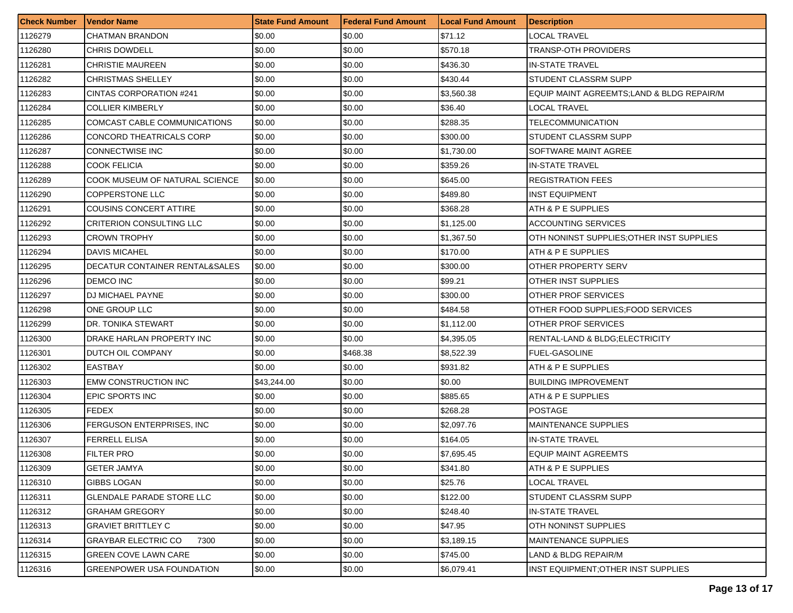| <b>Check Number</b> | l Vendor Name                    | <b>State Fund Amount</b> | l Federal Fund Amount | <b>Local Fund Amount</b> | <b>Description</b>                         |
|---------------------|----------------------------------|--------------------------|-----------------------|--------------------------|--------------------------------------------|
| 1126279             | CHATMAN BRANDON                  | \$0.00                   | \$0.00                | \$71.12                  | LOCAL TRAVEL                               |
| 1126280             | CHRIS DOWDELL                    | \$0.00                   | \$0.00                | \$570.18                 | TRANSP-OTH PROVIDERS                       |
| 1126281             | CHRISTIE MAUREEN                 | \$0.00                   | \$0.00                | \$436.30                 | <b>IN-STATE TRAVEL</b>                     |
| 1126282             | <b>CHRISTMAS SHELLEY</b>         | \$0.00                   | \$0.00                | \$430.44                 | <b>STUDENT CLASSRM SUPP</b>                |
| 1126283             | CINTAS CORPORATION #241          | \$0.00                   | \$0.00                | \$3,560.38               | EQUIP MAINT AGREEMTS; LAND & BLDG REPAIR/M |
| 1126284             | <b>COLLIER KIMBERLY</b>          | \$0.00                   | \$0.00                | \$36.40                  | LOCAL TRAVEL                               |
| 1126285             | COMCAST CABLE COMMUNICATIONS     | \$0.00                   | \$0.00                | \$288.35                 | TELECOMMUNICATION                          |
| 1126286             | CONCORD THEATRICALS CORP         | \$0.00                   | \$0.00                | \$300.00                 | STUDENT CLASSRM SUPP                       |
| 1126287             | <b>CONNECTWISE INC</b>           | \$0.00                   | \$0.00                | \$1,730.00               | SOFTWARE MAINT AGREE                       |
| 1126288             | COOK FELICIA                     | \$0.00                   | \$0.00                | \$359.26                 | <b>IN-STATE TRAVEL</b>                     |
| 1126289             | COOK MUSEUM OF NATURAL SCIENCE   | \$0.00                   | \$0.00                | \$645.00                 | <b>REGISTRATION FEES</b>                   |
| 1126290             | COPPERSTONE LLC                  | \$0.00                   | \$0.00                | \$489.80                 | <b>INST EQUIPMENT</b>                      |
| 1126291             | COUSINS CONCERT ATTIRE           | \$0.00                   | \$0.00                | \$368.28                 | ATH & P E SUPPLIES                         |
| 1126292             | CRITERION CONSULTING LLC         | \$0.00                   | \$0.00                | \$1,125.00               | <b>ACCOUNTING SERVICES</b>                 |
| 1126293             | CROWN TROPHY                     | \$0.00                   | \$0.00                | \$1.367.50               | OTH NONINST SUPPLIES: OTHER INST SUPPLIES  |
| 1126294             | DAVIS MICAHEL                    | \$0.00                   | \$0.00                | \$170.00                 | ATH & P E SUPPLIES                         |
| 1126295             | DECATUR CONTAINER RENTAL&SALES   | \$0.00                   | \$0.00                | \$300.00                 | OTHER PROPERTY SERV                        |
| 1126296             | <b>DEMCO INC</b>                 | \$0.00                   | \$0.00                | \$99.21                  | OTHER INST SUPPLIES                        |
| 1126297             | DJ MICHAEL PAYNE                 | \$0.00                   | \$0.00                | \$300.00                 | OTHER PROF SERVICES                        |
| 1126298             | ONE GROUP LLC                    | \$0.00                   | \$0.00                | \$484.58                 | OTHER FOOD SUPPLIES: FOOD SERVICES         |
| 1126299             | DR. TONIKA STEWART               | \$0.00                   | \$0.00                | \$1,112.00               | OTHER PROF SERVICES                        |
| 1126300             | DRAKE HARLAN PROPERTY INC        | \$0.00                   | \$0.00                | \$4,395.05               | RENTAL-LAND & BLDG; ELECTRICITY            |
| 1126301             | DUTCH OIL COMPANY                | \$0.00                   | \$468.38              | \$8,522.39               | <b>FUEL-GASOLINE</b>                       |
| 1126302             | <b>EASTBAY</b>                   | \$0.00                   | \$0.00                | \$931.82                 | ATH & P E SUPPLIES                         |
| 1126303             | EMW CONSTRUCTION INC             | \$43,244.00              | \$0.00                | \$0.00                   | <b>BUILDING IMPROVEMENT</b>                |
| 1126304             | EPIC SPORTS INC                  | \$0.00                   | \$0.00                | \$885.65                 | ATH & P E SUPPLIES                         |
| 1126305             | <b>FEDEX</b>                     | \$0.00                   | \$0.00                | \$268.28                 | <b>POSTAGE</b>                             |
| 1126306             | FERGUSON ENTERPRISES, INC        | \$0.00                   | \$0.00                | \$2,097.76               | <b>MAINTENANCE SUPPLIES</b>                |
| 1126307             | <b>FERRELL ELISA</b>             | \$0.00                   | \$0.00                | \$164.05                 | <b>IN-STATE TRAVEL</b>                     |
| 1126308             | FILTER PRO                       | \$0.00                   | \$0.00                | \$7,695.45               | <b>EQUIP MAINT AGREEMTS</b>                |
| 1126309             | <b>GETER JAMYA</b>               | \$0.00                   | \$0.00                | \$341.80                 | ATH & P E SUPPLIES                         |
| 1126310             | <b>GIBBS LOGAN</b>               | \$0.00                   | \$0.00                | \$25.76                  | <b>LOCAL TRAVEL</b>                        |
| 1126311             | <b>GLENDALE PARADE STORE LLC</b> | \$0.00                   | \$0.00                | \$122.00                 | <b>STUDENT CLASSRM SUPP</b>                |
| 1126312             | GRAHAM GREGORY                   | \$0.00                   | \$0.00                | \$248.40                 | IN-STATE TRAVEL                            |
| 1126313             | GRAVIET BRITTLEY C               | \$0.00                   | \$0.00                | \$47.95                  | OTH NONINST SUPPLIES                       |
| 1126314             | GRAYBAR ELECTRIC CO<br>7300      | \$0.00                   | \$0.00                | \$3,189.15               | <b>MAINTENANCE SUPPLIES</b>                |
| 1126315             | <b>GREEN COVE LAWN CARE</b>      | \$0.00                   | \$0.00                | \$745.00                 | LAND & BLDG REPAIR/M                       |
| 1126316             | <b>GREENPOWER USA FOUNDATION</b> | \$0.00                   | \$0.00                | \$6,079.41               | INST EQUIPMENT; OTHER INST SUPPLIES        |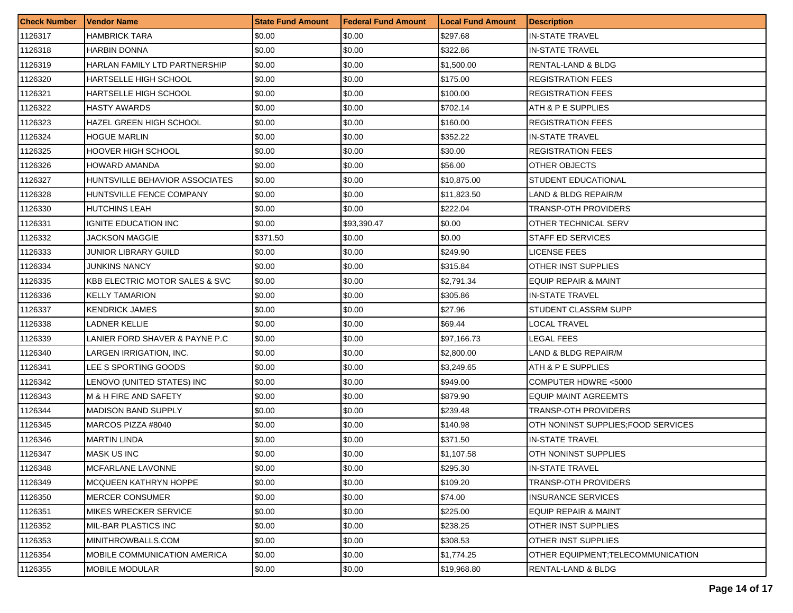| <b>Check Number</b> | Vendor Name                               | <b>State Fund Amount</b> | <b>Federal Fund Amount</b> | <b>Local Fund Amount</b> | <b>Description</b>                  |
|---------------------|-------------------------------------------|--------------------------|----------------------------|--------------------------|-------------------------------------|
| 1126317             | HAMBRICK TARA                             | \$0.00                   | \$0.00                     | \$297.68                 | <b>IN-STATE TRAVEL</b>              |
| 1126318             | HARBIN DONNA                              | \$0.00                   | \$0.00                     | \$322.86                 | <b>IN-STATE TRAVEL</b>              |
| 1126319             | HARLAN FAMILY LTD PARTNERSHIP             | \$0.00                   | \$0.00                     | \$1,500.00               | RENTAL-LAND & BLDG                  |
| 1126320             | HARTSELLE HIGH SCHOOL                     | \$0.00                   | \$0.00                     | \$175.00                 | <b>REGISTRATION FEES</b>            |
| 1126321             | HARTSELLE HIGH SCHOOL                     | \$0.00                   | \$0.00                     | \$100.00                 | <b>REGISTRATION FEES</b>            |
| 1126322             | <b>HASTY AWARDS</b>                       | \$0.00                   | \$0.00                     | \$702.14                 | ATH & P E SUPPLIES                  |
| 1126323             | HAZEL GREEN HIGH SCHOOL                   | \$0.00                   | \$0.00                     | \$160.00                 | <b>REGISTRATION FEES</b>            |
| 1126324             | HOGUE MARLIN                              | \$0.00                   | \$0.00                     | \$352.22                 | <b>IN-STATE TRAVEL</b>              |
| 1126325             | HOOVER HIGH SCHOOL                        | \$0.00                   | \$0.00                     | \$30.00                  | <b>REGISTRATION FEES</b>            |
| 1126326             | HOWARD AMANDA                             | \$0.00                   | \$0.00                     | \$56.00                  | OTHER OBJECTS                       |
| 1126327             | HUNTSVILLE BEHAVIOR ASSOCIATES            | \$0.00                   | \$0.00                     | \$10,875.00              | STUDENT EDUCATIONAL                 |
| 1126328             | HUNTSVILLE FENCE COMPANY                  | \$0.00                   | \$0.00                     | \$11,823.50              | LAND & BLDG REPAIR/M                |
| 1126330             | HUTCHINS LEAH                             | \$0.00                   | \$0.00                     | \$222.04                 | <b>TRANSP-OTH PROVIDERS</b>         |
| 1126331             | IGNITE EDUCATION INC                      | \$0.00                   | \$93,390.47                | \$0.00                   | OTHER TECHNICAL SERV                |
| 1126332             | JACKSON MAGGIE                            | \$371.50                 | \$0.00                     | \$0.00                   | <b>STAFF ED SERVICES</b>            |
| 1126333             | JUNIOR LIBRARY GUILD                      | \$0.00                   | \$0.00                     | \$249.90                 | LICENSE FEES                        |
| 1126334             | JUNKINS NANCY                             | \$0.00                   | \$0.00                     | \$315.84                 | OTHER INST SUPPLIES                 |
| 1126335             | <b>KBB ELECTRIC MOTOR SALES &amp; SVC</b> | \$0.00                   | \$0.00                     | \$2,791.34               | <b>EQUIP REPAIR &amp; MAINT</b>     |
| 1126336             | <b>KELLY TAMARION</b>                     | \$0.00                   | \$0.00                     | \$305.86                 | <b>IN-STATE TRAVEL</b>              |
| 1126337             | <b>KENDRICK JAMES</b>                     | \$0.00                   | \$0.00                     | \$27.96                  | STUDENT CLASSRM SUPP                |
| 1126338             | LADNER KELLIE                             | \$0.00                   | \$0.00                     | \$69.44                  | <b>LOCAL TRAVEL</b>                 |
| 1126339             | LANIER FORD SHAVER & PAYNE P.C            | \$0.00                   | \$0.00                     | \$97,166.73              | LEGAL FEES                          |
| 1126340             | LARGEN IRRIGATION, INC.                   | \$0.00                   | \$0.00                     | \$2,800.00               | LAND & BLDG REPAIR/M                |
| 1126341             | LEE S SPORTING GOODS                      | \$0.00                   | \$0.00                     | \$3,249.65               | ATH & P E SUPPLIES                  |
| 1126342             | LENOVO (UNITED STATES) INC                | \$0.00                   | \$0.00                     | \$949.00                 | COMPUTER HDWRE <5000                |
| 1126343             | M & H FIRE AND SAFETY                     | \$0.00                   | \$0.00                     | \$879.90                 | <b>EQUIP MAINT AGREEMTS</b>         |
| 1126344             | <b>MADISON BAND SUPPLY</b>                | \$0.00                   | \$0.00                     | \$239.48                 | <b>TRANSP-OTH PROVIDERS</b>         |
| 1126345             | MARCOS PIZZA #8040                        | \$0.00                   | \$0.00                     | \$140.98                 | OTH NONINST SUPPLIES; FOOD SERVICES |
| 1126346             | <b>MARTIN LINDA</b>                       | \$0.00                   | \$0.00                     | \$371.50                 | <b>IN-STATE TRAVEL</b>              |
| 1126347             | <b>MASK US INC</b>                        | \$0.00                   | \$0.00                     | \$1,107.58               | OTH NONINST SUPPLIES                |
| 1126348             | <b>MCFARLANE LAVONNE</b>                  | \$0.00                   | \$0.00                     | \$295.30                 | <b>IN-STATE TRAVEL</b>              |
| 1126349             | MCQUEEN KATHRYN HOPPE                     | \$0.00                   | \$0.00                     | \$109.20                 | <b>TRANSP-OTH PROVIDERS</b>         |
| 1126350             | <b>MERCER CONSUMER</b>                    | \$0.00                   | \$0.00                     | \$74.00                  | <b>INSURANCE SERVICES</b>           |
| 1126351             | <b>MIKES WRECKER SERVICE</b>              | \$0.00                   | \$0.00                     | \$225.00                 | EQUIP REPAIR & MAINT                |
| 1126352             | <b>MIL-BAR PLASTICS INC</b>               | \$0.00                   | \$0.00                     | \$238.25                 | <b>OTHER INST SUPPLIES</b>          |
| 1126353             | MINITHROWBALLS.COM                        | \$0.00                   | \$0.00                     | \$308.53                 | <b>OTHER INST SUPPLIES</b>          |
| 1126354             | MOBILE COMMUNICATION AMERICA              | \$0.00                   | \$0.00                     | \$1,774.25               | OTHER EQUIPMENT; TELECOMMUNICATION  |
| 1126355             | MOBILE MODULAR                            | \$0.00                   | \$0.00                     | \$19,968.80              | <b>RENTAL-LAND &amp; BLDG</b>       |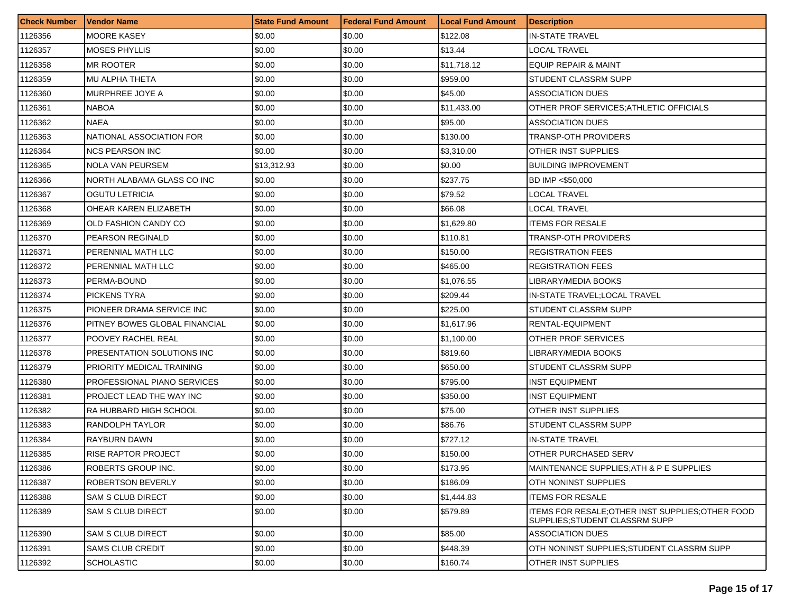| <b>Check Number</b> | Vendor Name                   | <b>State Fund Amount</b> | l Federal Fund Amount | <b>Local Fund Amount</b> | <b>Description</b>                                                                 |
|---------------------|-------------------------------|--------------------------|-----------------------|--------------------------|------------------------------------------------------------------------------------|
| 1126356             | <b>MOORE KASEY</b>            | \$0.00                   | \$0.00                | \$122.08                 | <b>IN-STATE TRAVEL</b>                                                             |
| 1126357             | MOSES PHYLLIS                 | \$0.00                   | \$0.00                | \$13.44                  | LOCAL TRAVEL                                                                       |
| 1126358             | MR ROOTER                     | \$0.00                   | \$0.00                | \$11,718.12              | EQUIP REPAIR & MAINT                                                               |
| 1126359             | <b>MU ALPHA THETA</b>         | \$0.00                   | \$0.00                | \$959.00                 | STUDENT CLASSRM SUPP                                                               |
| 1126360             | MURPHREE JOYE A               | \$0.00                   | \$0.00                | \$45.00                  | <b>ASSOCIATION DUES</b>                                                            |
| 1126361             | <b>NABOA</b>                  | \$0.00                   | \$0.00                | \$11,433.00              | OTHER PROF SERVICES; ATHLETIC OFFICIALS                                            |
| 1126362             | NAEA                          | \$0.00                   | \$0.00                | \$95.00                  | <b>ASSOCIATION DUES</b>                                                            |
| 1126363             | NATIONAL ASSOCIATION FOR      | \$0.00                   | \$0.00                | \$130.00                 | TRANSP-OTH PROVIDERS                                                               |
| 1126364             | <b>NCS PEARSON INC</b>        | \$0.00                   | \$0.00                | \$3,310.00               | OTHER INST SUPPLIES                                                                |
| 1126365             | NOLA VAN PEURSEM              | \$13,312.93              | \$0.00                | \$0.00                   | <b>BUILDING IMPROVEMENT</b>                                                        |
| 1126366             | NORTH ALABAMA GLASS CO INC    | \$0.00                   | \$0.00                | \$237.75                 | BD IMP <\$50,000                                                                   |
| 1126367             | OGUTU LETRICIA                | \$0.00                   | \$0.00                | \$79.52                  | LOCAL TRAVEL                                                                       |
| 1126368             | OHEAR KAREN ELIZABETH         | \$0.00                   | \$0.00                | \$66.08                  | LOCAL TRAVEL                                                                       |
| 1126369             | OLD FASHION CANDY CO          | \$0.00                   | \$0.00                | \$1,629.80               | <b>ITEMS FOR RESALE</b>                                                            |
| 1126370             | PEARSON REGINALD              | \$0.00                   | \$0.00                | \$110.81                 | TRANSP-OTH PROVIDERS                                                               |
| 1126371             | PERENNIAL MATH LLC            | \$0.00                   | \$0.00                | \$150.00                 | <b>REGISTRATION FEES</b>                                                           |
| 1126372             | PERENNIAL MATH LLC            | \$0.00                   | \$0.00                | \$465.00                 | <b>REGISTRATION FEES</b>                                                           |
| 1126373             | PERMA-BOUND                   | \$0.00                   | \$0.00                | \$1.076.55               | LIBRARY/MEDIA BOOKS                                                                |
| 1126374             | <b>PICKENS TYRA</b>           | \$0.00                   | \$0.00                | \$209.44                 | IN-STATE TRAVEL;LOCAL TRAVEL                                                       |
| 1126375             | PIONEER DRAMA SERVICE INC     | \$0.00                   | \$0.00                | \$225.00                 | STUDENT CLASSRM SUPP                                                               |
| 1126376             | PITNEY BOWES GLOBAL FINANCIAL | \$0.00                   | \$0.00                | \$1,617.96               | RENTAL-EQUIPMENT                                                                   |
| 1126377             | POOVEY RACHEL REAL            | \$0.00                   | \$0.00                | \$1,100.00               | OTHER PROF SERVICES                                                                |
| 1126378             | PRESENTATION SOLUTIONS INC    | \$0.00                   | \$0.00                | \$819.60                 | LIBRARY/MEDIA BOOKS                                                                |
| 1126379             | PRIORITY MEDICAL TRAINING     | \$0.00                   | \$0.00                | \$650.00                 | STUDENT CLASSRM SUPP                                                               |
| 1126380             | PROFESSIONAL PIANO SERVICES   | \$0.00                   | \$0.00                | \$795.00                 | <b>INST EQUIPMENT</b>                                                              |
| 1126381             | PROJECT LEAD THE WAY INC      | \$0.00                   | \$0.00                | \$350.00                 | <b>INST EQUIPMENT</b>                                                              |
| 1126382             | RA HUBBARD HIGH SCHOOL        | \$0.00                   | \$0.00                | \$75.00                  | OTHER INST SUPPLIES                                                                |
| 1126383             | RANDOLPH TAYLOR               | \$0.00                   | \$0.00                | \$86.76                  | STUDENT CLASSRM SUPP                                                               |
| 1126384             | RAYBURN DAWN                  | \$0.00                   | \$0.00                | \$727.12                 | <b>IN-STATE TRAVEL</b>                                                             |
| 1126385             | RISE RAPTOR PROJECT           | \$0.00                   | \$0.00                | \$150.00                 | OTHER PURCHASED SERV                                                               |
| 1126386             | <b>ROBERTS GROUP INC.</b>     | \$0.00                   | \$0.00                | \$173.95                 | MAINTENANCE SUPPLIES; ATH & P E SUPPLIES                                           |
| 1126387             | ROBERTSON BEVERLY             | \$0.00                   | \$0.00                | \$186.09                 | <b>OTH NONINST SUPPLIES</b>                                                        |
| 1126388             | <b>SAM S CLUB DIRECT</b>      | \$0.00                   | \$0.00                | \$1,444.83               | <b>ITEMS FOR RESALE</b>                                                            |
| 1126389             | <b>SAM S CLUB DIRECT</b>      | \$0.00                   | \$0.00                | \$579.89                 | ITEMS FOR RESALE: OTHER INST SUPPLIES: OTHER FOOD<br>SUPPLIES;STUDENT CLASSRM SUPP |
| 1126390             | SAM S CLUB DIRECT             | \$0.00                   | \$0.00                | \$85.00                  | <b>ASSOCIATION DUES</b>                                                            |
| 1126391             | <b>SAMS CLUB CREDIT</b>       | \$0.00                   | \$0.00                | \$448.39                 | OTH NONINST SUPPLIES: STUDENT CLASSRM SUPP                                         |
| 1126392             | <b>SCHOLASTIC</b>             | \$0.00                   | \$0.00                | \$160.74                 | <b>OTHER INST SUPPLIES</b>                                                         |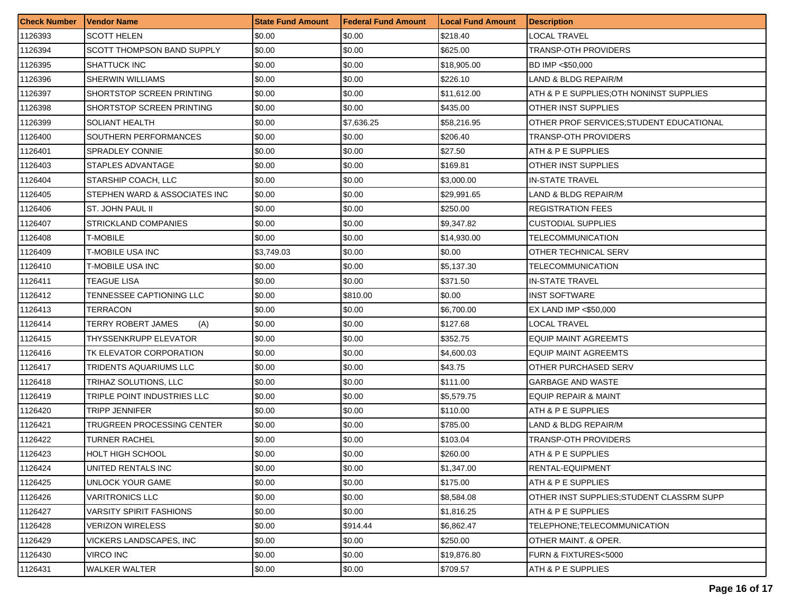| <b>Check Number</b> | <b>Vendor Name</b>              | <b>State Fund Amount</b> | <b>Federal Fund Amount</b> | <b>Local Fund Amount</b> | <b>Description</b>                       |
|---------------------|---------------------------------|--------------------------|----------------------------|--------------------------|------------------------------------------|
| 1126393             | SCOTT HELEN                     | \$0.00                   | \$0.00                     | \$218.40                 | LOCAL TRAVEL                             |
| 1126394             | SCOTT THOMPSON BAND SUPPLY      | \$0.00                   | \$0.00                     | \$625.00                 | TRANSP-OTH PROVIDERS                     |
| 1126395             | SHATTUCK INC                    | \$0.00                   | \$0.00                     | \$18,905.00              | BD IMP <\$50,000                         |
| 1126396             | <b>SHERWIN WILLIAMS</b>         | \$0.00                   | \$0.00                     | \$226.10                 | LAND & BLDG REPAIR/M                     |
| 1126397             | SHORTSTOP SCREEN PRINTING       | \$0.00                   | \$0.00                     | \$11,612.00              | ATH & P E SUPPLIES:OTH NONINST SUPPLIES  |
| 1126398             | SHORTSTOP SCREEN PRINTING       | \$0.00                   | \$0.00                     | \$435.00                 | OTHER INST SUPPLIES                      |
| 1126399             | SOLIANT HEALTH                  | \$0.00                   | \$7,636.25                 | \$58.216.95              | OTHER PROF SERVICES:STUDENT EDUCATIONAL  |
| 1126400             | SOUTHERN PERFORMANCES           | \$0.00                   | \$0.00                     | \$206.40                 | TRANSP-OTH PROVIDERS                     |
| 1126401             | <b>SPRADLEY CONNIE</b>          | \$0.00                   | \$0.00                     | \$27.50                  | ATH & P E SUPPLIES                       |
| 1126403             | STAPLES ADVANTAGE               | \$0.00                   | \$0.00                     | \$169.81                 | OTHER INST SUPPLIES                      |
| 1126404             | STARSHIP COACH, LLC             | \$0.00                   | \$0.00                     | \$3,000.00               | IN-STATE TRAVEL                          |
| 1126405             | STEPHEN WARD & ASSOCIATES INC   | \$0.00                   | \$0.00                     | \$29,991.65              | LAND & BLDG REPAIR/M                     |
| 1126406             | ST. JOHN PAUL II                | \$0.00                   | \$0.00                     | \$250.00                 | <b>REGISTRATION FEES</b>                 |
| 1126407             | <b>STRICKLAND COMPANIES</b>     | \$0.00                   | \$0.00                     | \$9,347.82               | <b>CUSTODIAL SUPPLIES</b>                |
| 1126408             | T-MOBILE                        | \$0.00                   | \$0.00                     | \$14,930.00              | TELECOMMUNICATION                        |
| 1126409             | T-MOBILE USA INC                | \$3,749.03               | \$0.00                     | \$0.00                   | OTHER TECHNICAL SERV                     |
| 1126410             | T-MOBILE USA INC                | \$0.00                   | \$0.00                     | \$5,137.30               | TELECOMMUNICATION                        |
| 1126411             | TEAGUE LISA                     | \$0.00                   | \$0.00                     | \$371.50                 | IN-STATE TRAVEL                          |
| 1126412             | TENNESSEE CAPTIONING LLC        | \$0.00                   | \$810.00                   | \$0.00                   | INST SOFTWARE                            |
| 1126413             | TERRACON                        | \$0.00                   | \$0.00                     | \$6,700.00               | EX LAND IMP <\$50,000                    |
| 1126414             | TERRY ROBERT JAMES<br>(A)       | \$0.00                   | \$0.00                     | \$127.68                 | LOCAL TRAVEL                             |
| 1126415             | THYSSENKRUPP ELEVATOR           | \$0.00                   | \$0.00                     | \$352.75                 | EQUIP MAINT AGREEMTS                     |
| 1126416             | TK ELEVATOR CORPORATION         | \$0.00                   | \$0.00                     | \$4,600.03               | EQUIP MAINT AGREEMTS                     |
| 1126417             | TRIDENTS AQUARIUMS LLC          | \$0.00                   | \$0.00                     | \$43.75                  | OTHER PURCHASED SERV                     |
| 1126418             | TRIHAZ SOLUTIONS, LLC           | \$0.00                   | \$0.00                     | \$111.00                 | GARBAGE AND WASTE                        |
| 1126419             | TRIPLE POINT INDUSTRIES LLC     | \$0.00                   | \$0.00                     | \$5,579.75               | EQUIP REPAIR & MAINT                     |
| 1126420             | TRIPP JENNIFER                  | \$0.00                   | \$0.00                     | \$110.00                 | ATH & P E SUPPLIES                       |
| 1126421             | TRUGREEN PROCESSING CENTER      | \$0.00                   | \$0.00                     | \$785.00                 | LAND & BLDG REPAIR/M                     |
| 1126422             | TURNER RACHEL                   | \$0.00                   | \$0.00                     | \$103.04                 | TRANSP-OTH PROVIDERS                     |
| 1126423             | HOLT HIGH SCHOOL                | \$0.00                   | \$0.00                     | \$260.00                 | ATH & P E SUPPLIES                       |
| 1126424             | UNITED RENTALS INC              | \$0.00                   | \$0.00                     | \$1,347.00               | RENTAL-EQUIPMENT                         |
| 1126425             | UNLOCK YOUR GAME                | \$0.00                   | \$0.00                     | \$175.00                 | ATH & P E SUPPLIES                       |
| 1126426             | <b>VARITRONICS LLC</b>          | \$0.00                   | \$0.00                     | \$8,584.08               | OTHER INST SUPPLIES:STUDENT CLASSRM SUPP |
| 1126427             | <b>VARSITY SPIRIT FASHIONS</b>  | \$0.00                   | \$0.00                     | \$1,816.25               | ATH & P E SUPPLIES                       |
| 1126428             | VERIZON WIRELESS                | \$0.00                   | \$914.44                   | \$6,862.47               | TELEPHONE;TELECOMMUNICATION              |
| 1126429             | <b>VICKERS LANDSCAPES. INC.</b> | \$0.00                   | \$0.00                     | \$250.00                 | OTHER MAINT. & OPER.                     |
| 1126430             | VIRCO INC                       | \$0.00                   | \$0.00                     | \$19,876.80              | FURN & FIXTURES<5000                     |
| 1126431             | <b>WALKER WALTER</b>            | \$0.00                   | \$0.00                     | \$709.57                 | ATH & P E SUPPLIES                       |